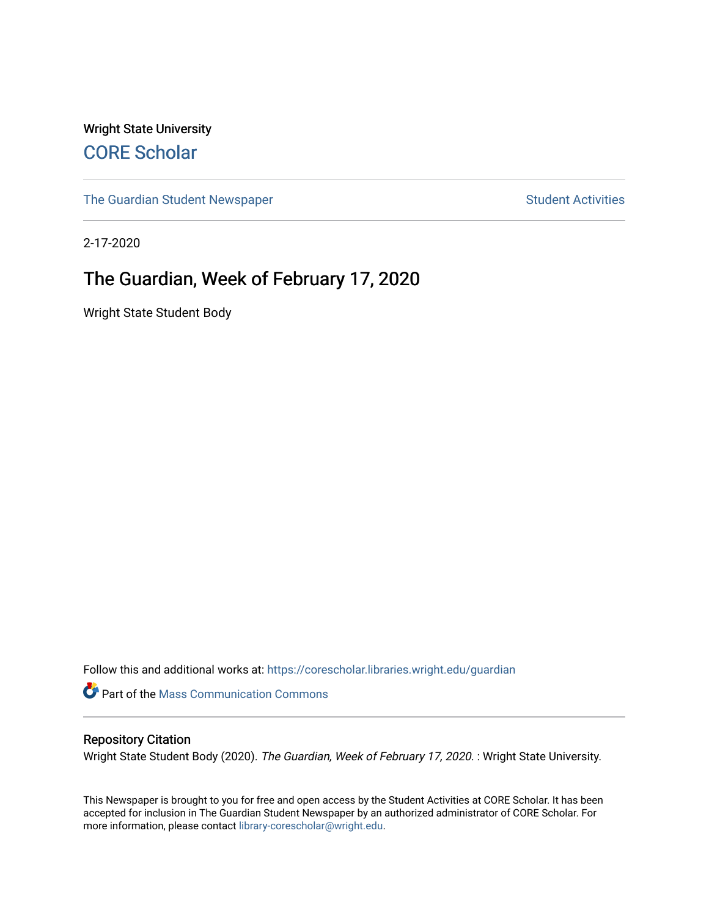Wright State University [CORE Scholar](https://corescholar.libraries.wright.edu/)

[The Guardian Student Newspaper](https://corescholar.libraries.wright.edu/guardian) Student Activities

2-17-2020

#### The Guardian, Week of February 17, 2020

Wright State Student Body

Follow this and additional works at: [https://corescholar.libraries.wright.edu/guardian](https://corescholar.libraries.wright.edu/guardian?utm_source=corescholar.libraries.wright.edu%2Fguardian%2F2418&utm_medium=PDF&utm_campaign=PDFCoverPages)

Part of the [Mass Communication Commons](http://network.bepress.com/hgg/discipline/334?utm_source=corescholar.libraries.wright.edu%2Fguardian%2F2418&utm_medium=PDF&utm_campaign=PDFCoverPages) 

#### Repository Citation

Wright State Student Body (2020). The Guardian, Week of February 17, 2020. : Wright State University.

This Newspaper is brought to you for free and open access by the Student Activities at CORE Scholar. It has been accepted for inclusion in The Guardian Student Newspaper by an authorized administrator of CORE Scholar. For more information, please contact [library-corescholar@wright.edu.](mailto:library-corescholar@wright.edu)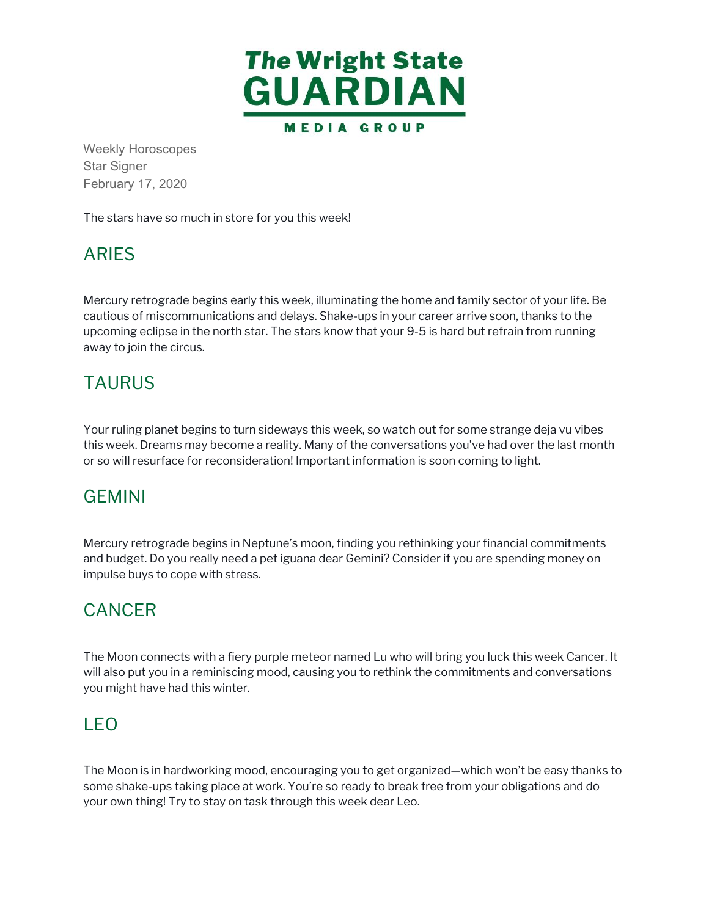

Weekly Horoscopes Star Signer February 17, 2020

The stars have so much in store for you this week!

#### ARIES

Mercury retrograde begins early this week, illuminating the home and family sector of your life. Be cautious of miscommunications and delays. Shake-ups in your career arrive soon, thanks to the upcoming eclipse in the north star. The stars know that your 9-5 is hard but refrain from running away to join the circus.

## TAURUS

Your ruling planet begins to turn sideways this week, so watch out for some strange deja vu vibes this week. Dreams may become a reality. Many of the conversations you've had over the last month or so will resurface for reconsideration! Important information is soon coming to light.

#### GEMINI

Mercury retrograde begins in Neptune's moon, finding you rethinking your financial commitments and budget. Do you really need a pet iguana dear Gemini? Consider if you are spending money on impulse buys to cope with stress.

#### CANCER

The Moon connects with a fiery purple meteor named Lu who will bring you luck this week Cancer. It will also put you in a reminiscing mood, causing you to rethink the commitments and conversations you might have had this winter.

#### LEO

The Moon is in hardworking mood, encouraging you to get organized—which won't be easy thanks to some shake-ups taking place at work. You're so ready to break free from your obligations and do your own thing! Try to stay on task through this week dear Leo.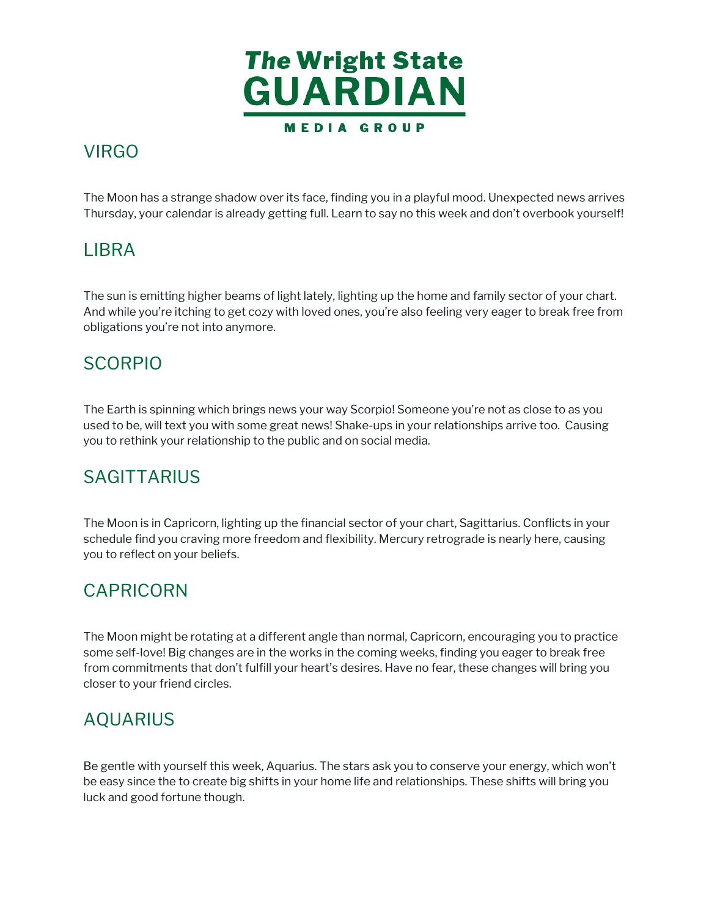

## **VIRGO**

 The Moon has a strange shadow over its face, finding you in a playful mood. Unexpected news arrives Thursday, your calendar is already getting full. Learn to say no this week and don't overbook yourself!

## LIBRA

 The sun is emitting higher beams of light lately, lighting up the home and family sector of your chart. And while you're itching to get cozy with loved ones, you're also feeling very eager to break free from obligations you're not into anymore. Moon has a strandary, your calem<br>
SRA<br>
SRA<br>
SRA<br>
SRA<br>
SRA<br>
SUP SUP SUP TO SUP TO SAMPLE SUPERENT ON THE SUPERENT OF SUPERENT ON THE SUPERENT ON THE MOON SUPERENT ON THE SUPERENT OF THE SUPERENT OF THE SUPERENT OF THE SUPER

## SCORPIO

 The Earth is spinning which brings news your way Scorpio! Someone you're not as close to as you used to be, will text you with some great news! Shake-ups in your relationships arrive too. Causing you to rethink your relationship to the public and on social media.

#### **SAGITTARIUS**

 The Moon is in Capricorn, lighting up the financial sector of your chart, Sagittarius. Conflicts in your schedule find you craving more freedom and flexibility. Mercury retrograde is nearly here, causing you to reflect on your beliefs.

#### CAPRICORN

 The Moon might be rotating at a different angle than normal, Capricorn, encouraging you to practice some self-love! Big changes are in the works in the coming weeks, finding you eager to break free from commitments that don't fulfill your heart's desires. Have no fear, these changes will bring you closer to your friend circles. VIRGO<br>The Moon<br>Thursday,<br>LIBRA<br>The sun is<br>And while<br>obligations<br>SCORF<br>The Earth<br>used to be<br>you to refl<br>SAGIT<br>The Moon<br>schedule f<br>you to refl<br>CAPRI<br>The Moon<br>schedule f<br>Vou to refl<br>CAPRI<br>The Moon<br>schedule f<br>Moon schedule f<br>V

#### AQUARIUS

 Be gentle with yourself this week, Aquarius. The stars ask you to conserve your energy, which won't be easy since the to create big shifts in your home life and relationships. These shifts will bring you luck and good fortune though.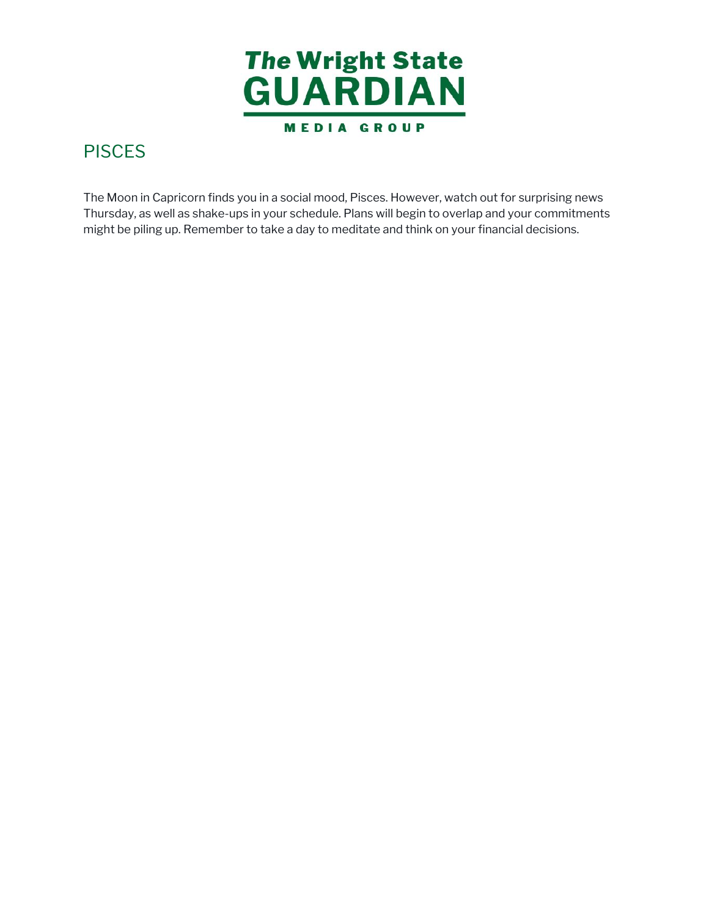

 The Moon in Capricorn finds you in a social mood, Pisces. However, watch out for surprising news Thursday, as well as shake-ups in your schedule. Plans will begin to overlap and your commitments PISCES<br>The Moon in Capricorn finds you in a social mood, Pisces. However, watch out for surprising r<br>Thursday, as well as shake-ups in your schedule. Plans will begin to overlap and your commitr<br>might be piling up. Remembe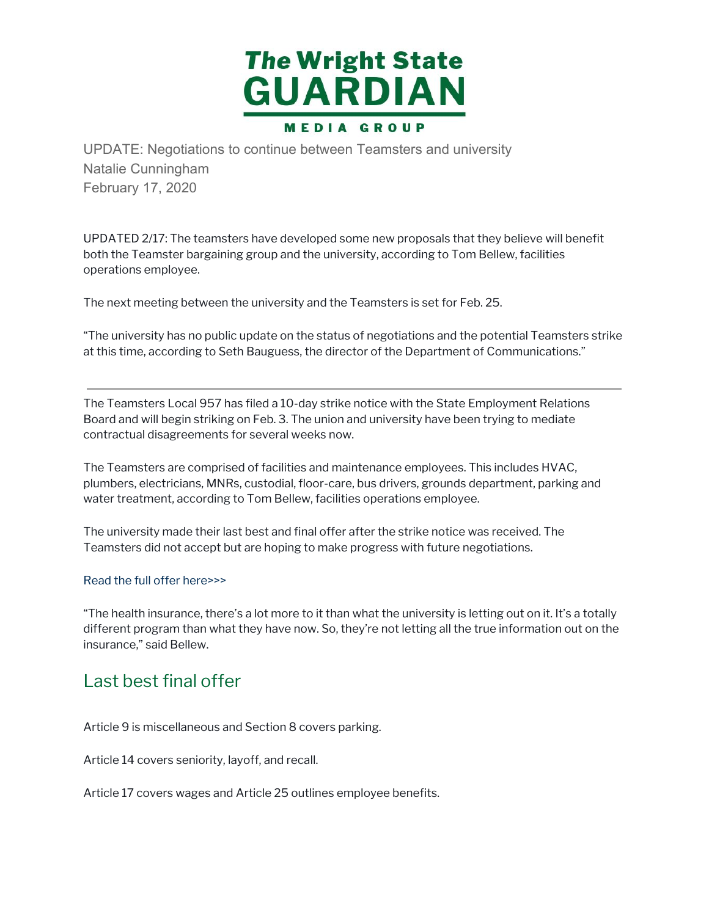

UPDATE: Negotiations to continue between Teamsters and university<br>Natalie Cunningham<br>February 17, 2020<br>UPDATED 2/17: The teamsters have developed some new proposals that they beth<br>Hot the Teamster bergoing group and the un Natalie Cunningham February 17, 2020

 UPDATED 2/17: The teamsters have developed some new proposals that they believe will benefit both the Teamster bargaining group and the university, according to Tom Bellew, facilities operations employee.

The next meeting between the university and the Teamsters is set for Feb. 25.

 "The university has no public update on the status of negotiations and the potential Teamsters strike at this time, according to Seth Bauguess, the director of the Department of Communications." ne next meetir<br>`he university |<br>this time, acc<br>me Teamsters<br>pard and will b

 The Teamsters Local 957 has filed a 10-day strike notice with the State Employment Relations Board and will begin striking on Feb. 3. The union and university have been trying to mediate contractual disagreements for several weeks now.

 The Teamsters are comprised of facilities and maintenance employees. This includes HVAC, plumbers, electricians, MNRs, custodial, floor-care, bus drivers, grounds department, parking and water treatment, according to Tom Bellew, facilities operations employee.

 The university made their last best and final offer after the strike notice was received. The Teamsters did not accept but are hoping to make progress with future negotiations.

#### Read the full offer here>>>

 "The health insurance, there's a lot more to it than what the university is letting out on it. It's a totally different program than what they have now. So, they're not letting all the true information out on the insurance," said Bellew.

#### Last best final offer

Article 9 is miscellaneous and Section 8 covers parking.

Article 14 covers seniority, layoff, and recall.

Article 17 covers wages and Article 25 outlines employee benefits.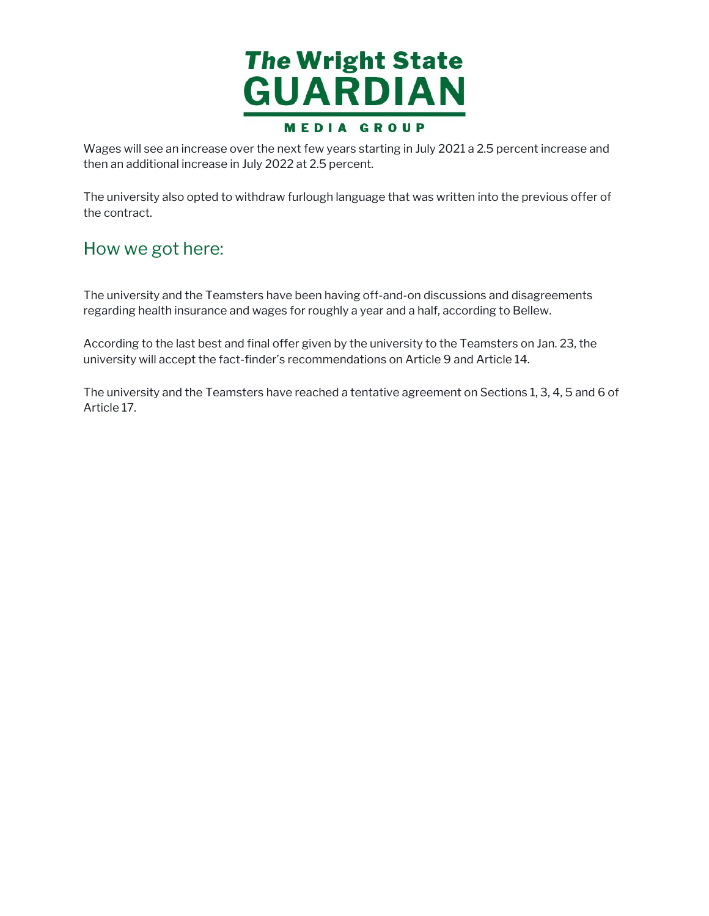

 Wages will see an increase over the next few years starting in July 2021 a 2.5 percent increase and then an additional increase in July 2022 at 2.5 percent.

 The university also opted to withdraw furlough language that was written into the previous offer of ges<br>n an<br>e uni<sup>,</sup> the contract.

#### How we got here:

 The university and the Teamsters have been having off-and-on discussions and disagreements regarding health insurance and wages for roughly a year and a half, according to Bellew.

 According to the last best and final offer given by the university to the Teamsters on Jan. 23, the university will accept the fact-finder's recommendations on Article 9 and Article 14. W We<br>univers<br>arding h<br>ording<br>versity v<br>univers<br>cle 17.

 The university and the Teamsters have reached a tentative agreement on Sections 1, 3, 4, 5 and 6 of Article 17.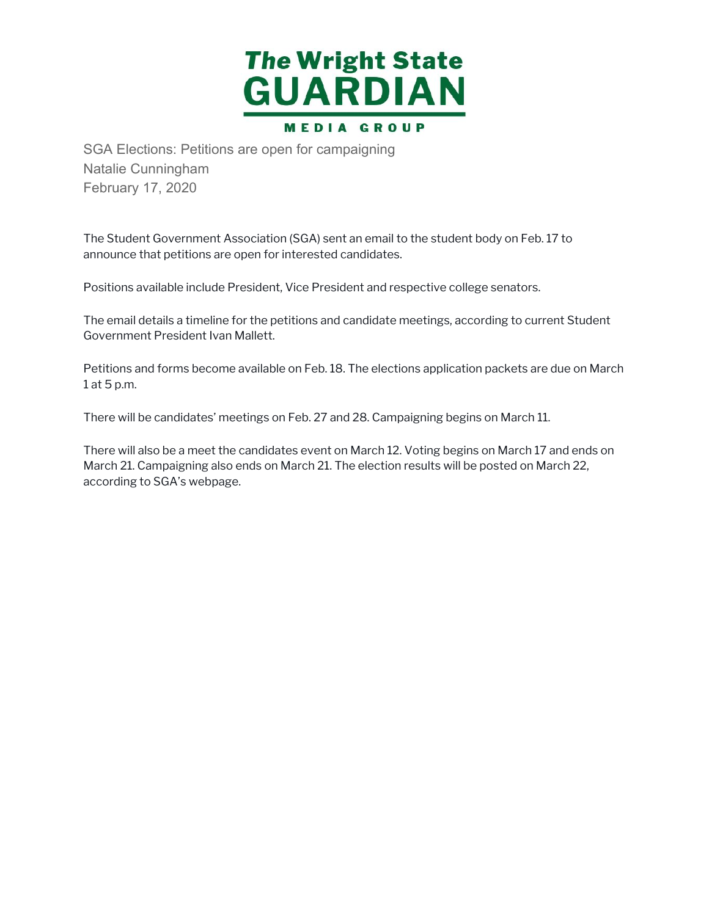

SGA Elections: Petitions are open for campaigning<br>Natalie Cunningham<br>February 17, 2020<br>The Student Government Association (SGA) sent an email<br>announce that petitions are open for interested candidate<br>Positions available in Natalie Cunningham February 17, 2020

 The Student Government Association (SGA) sent an email to the student body on Feb. 17 to announce that petitions are open for interested candidates.

Positions available include President, Vice President and respective college senators.

 The email details a timeline for the petitions and candidate meetings, according to current Student Government President Ivan Mallett.

 Petitions and forms become available on Feb. 18. The elections application packets are due on March 1 at 5 p.m.

There will be candidates' meetings on Feb. 27 and 28. Campaigning begins on March 11.

 There will also be a meet the candidates event on March 12. Voting begins on March 17 and ends on March 21. Campaigning also ends on March 21. The election results will be posted on March 22, according to SGA's webpage.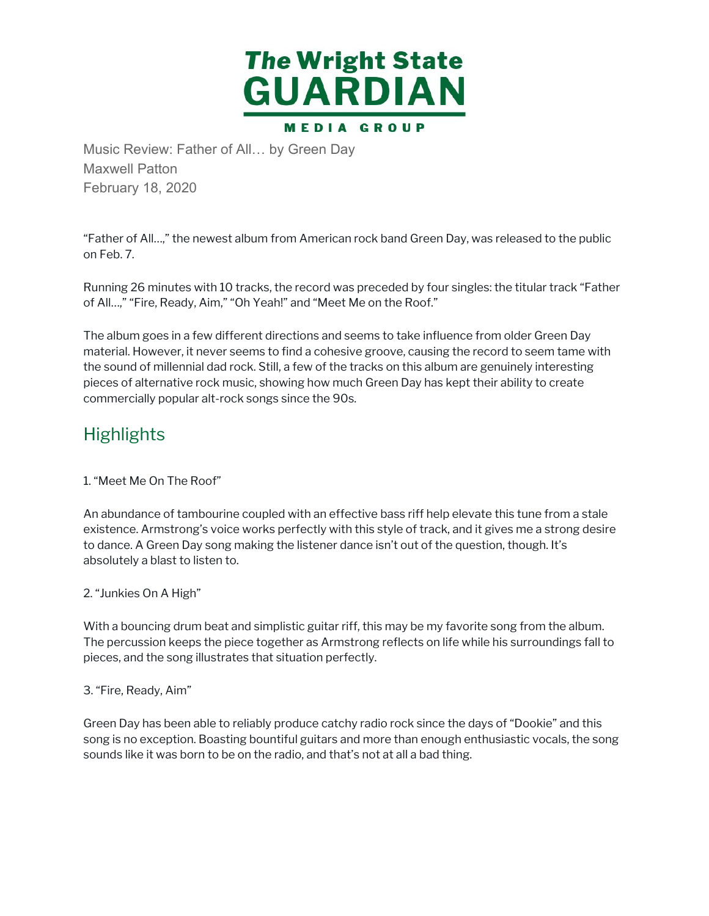

Maxwell Patton February 18, 2020

 "Father of All…," the newest album from American rock band Green Day, was released to the public on Feb. 7.

 Running 26 minutes with 10 tracks, the record was preceded by four singles: the titular track "Father of All…," "Fire, Ready, Aim," "Oh Yeah!" and "Meet Me on the Roof."

 The album goes in a few different directions and seems to take influence from older Green Day material. However, it never seems to find a cohesive groove, causing the record to seem tame with the sound of millennial dad rock. Still, a few of the tracks on this album are genuinely interesting pieces of alternative rock music, showing how much Green Day has kept their ability to create commercially popular alt-rock songs since the 90s. Music Review: Father of All... by Green Day<br>Maxwell Patton<br>February 18, 2020<br>"Father of All...," the newest album from American<br>on Feb. 7.<br>Xunning 26 minutes with 10 tracks, the record was<br>of All...," "Fire, Ready, Aim," "

#### **Highlights**

#### 1. "Meet Me On The Roof"

 An abundance of tambourine coupled with an effective bass riff help elevate this tune from a stale existence. Armstrong's voice works perfectly with this style of track, and it gives me a strong desire to dance. A Green Day song making the listener dance isn't out of the question, though. It's absolutely a blast to listen to.

#### 2. "Junkies On A High"

 With a bouncing drum beat and simplistic guitar riff, this may be my favorite song from the album. The percussion keeps the piece together as Armstrong reflects on life while his surroundings fall to pieces, and the song illustrates that situation perfectly.

#### 3. "Fire, Ready, Aim"

 Green Day has been able to reliably produce catchy radio rock since the days of "Dookie" and this song is no exception. Boasting bountiful guitars and more than enough enthusiastic vocals, the song sounds like it was born to be on the radio, and that's not at all a bad thing.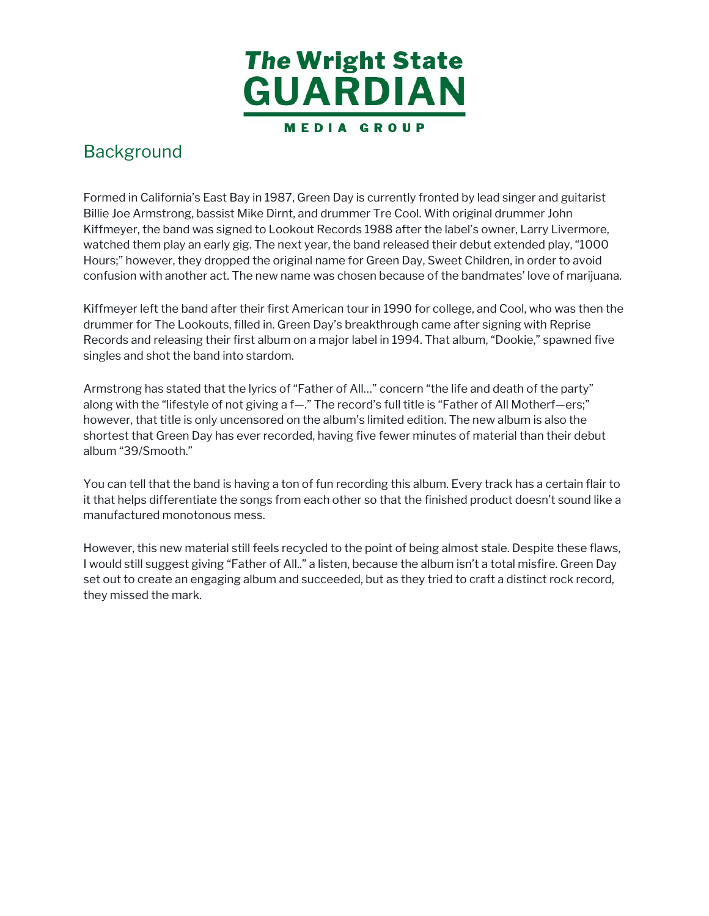

 Formed in California's East Bay in 1987, Green Day is currently fronted by lead singer and guitarist Billie Joe Armstrong, bassist Mike Dirnt, and drummer Tre Cool. With original drummer John Kiffmeyer, the band was signed to Lookout Records 1988 after the label's owner, Larry Livermore, watched them play an early gig. The next year, the band released their debut extended play, "1000 Hours;" however, they dropped the original name for Green Day, Sweet Children, in order to avoid confusion with another act. The new name was chosen because of the bandmates' love of marijuana. ormed in C<br>illie Joe Ar<br>iffmeyer, t<br>atched the<br>lours;" how<br>onfusion w<br>iffmeyer le<br>rummer fc<br>ecords an<br>ingles and<br>migles and<br>rumstrong with t<br>owever, th<br>hortest that<br>hortest that<br>lbum "39/!<br>ou can tell<br>that helps Background<br>Formed in Californ<br>Billie Joe Armstror<br>Kiffmeyer, the ban<br>watched them play<br>Hours;" however, t<br>confusion with and<br>Kiffmeyer left the<br>Kiffmeyer left the<br>Kiffmeyer left the<br>Singles and shot th<br>Armstrong has sta<br>al

 Kiffmeyer left the band after their first American tour in 1990 for college, and Cool, who was then the drummer for The Lookouts, filled in. Green Day's breakthrough came after signing with Reprise Records and releasing their first album on a major label in 1994. That album, "Dookie," spawned five singles and shot the band into stardom.

 Armstrong has stated that the lyrics of "Father of All…" concern "the life and death of the party" along with the "lifestyle of not giving a f—." The record's full title is "Father of All Motherf—ers;" however, that title is only uncensored on the album's limited edition. The new album is also the shortest that Green Day has ever recorded, having five fewer minutes of material than their debut album "39/Smooth."

 You can tell that the band is having a ton of fun recording this album. Every track has a certain flair to it that helps differentiate the songs from each other so that the finished product doesn't sound like a manufactured monotonous mess.

 However, this new material still feels recycled to the point of being almost stale. Despite these flaws, I would still suggest giving "Father of All.." a listen, because the album isn't a total misfire. Green Day set out to create an engaging album and succeeded, but as they tried to craft a distinct rock record, they missed the mark.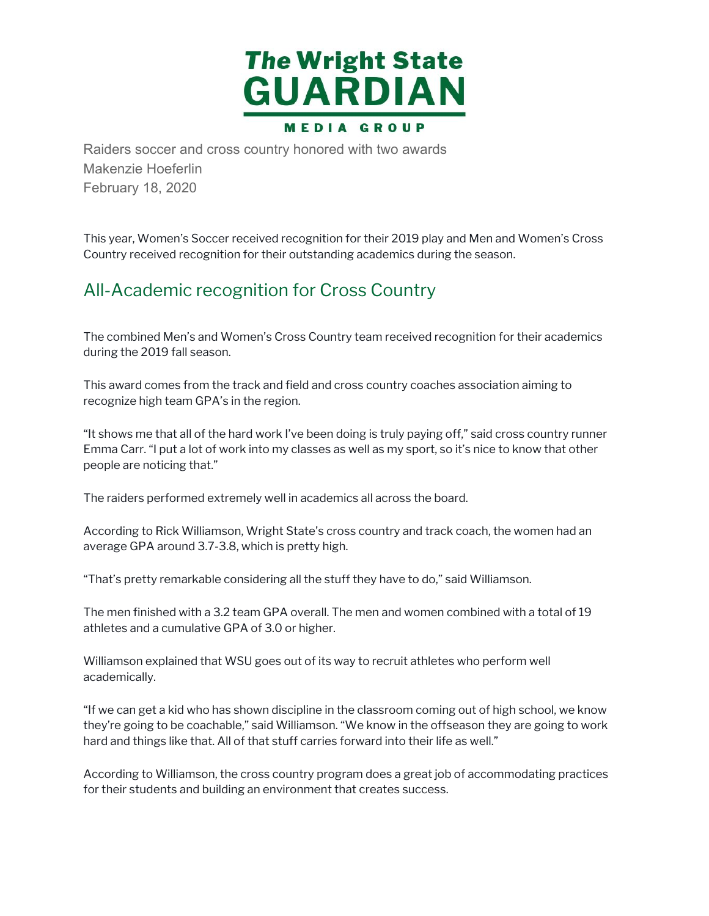

Raiders soccer and cross country honored with two awards<br>Makenzie Hoeferlin<br>This year, Women's Soccer received recognition for their 2019 play<br>Country received recognition for their outstanding academics duriny<br>Country rec Makenzie Hoeferlin February 18, 2020

 This year, Women's Soccer received recognition for their 2019 play and Men and Women's Cross Country received recognition for their outstanding academics during the season.

#### All-Academic recognition for Cross Country

 The combined Men's and Women's Cross Country team received recognition for their academics during the 2019 fall season.

 This award comes from the track and field and cross country coaches association aiming to recognize high team GPA's in the region.

 "It shows me that all of the hard work I've been doing is truly paying off," said cross country runner Emma Carr. "I put a lot of work into my classes as well as my sport, so it's nice to know that other people are noticing that."

The raiders performed extremely well in academics all across the board.

 According to Rick Williamson, Wright State's cross country and track coach, the women had an average GPA around 3.7-3.8, which is pretty high.

"That's pretty remarkable considering all the stuff they have to do," said Williamson.

 The men finished with a 3.2 team GPA overall. The men and women combined with a total of 19 athletes and a cumulative GPA of 3.0 or higher.

 Williamson explained that WSU goes out of its way to recruit athletes who perform well academically.

 "If we can get a kid who has shown discipline in the classroom coming out of high school, we know they're going to be coachable," said Williamson. "We know in the offseason they are going to work hard and things like that. All of that stuff carries forward into their life as well."

 According to Williamson, the cross country program does a great job of accommodating practices for their students and building an environment that creates success.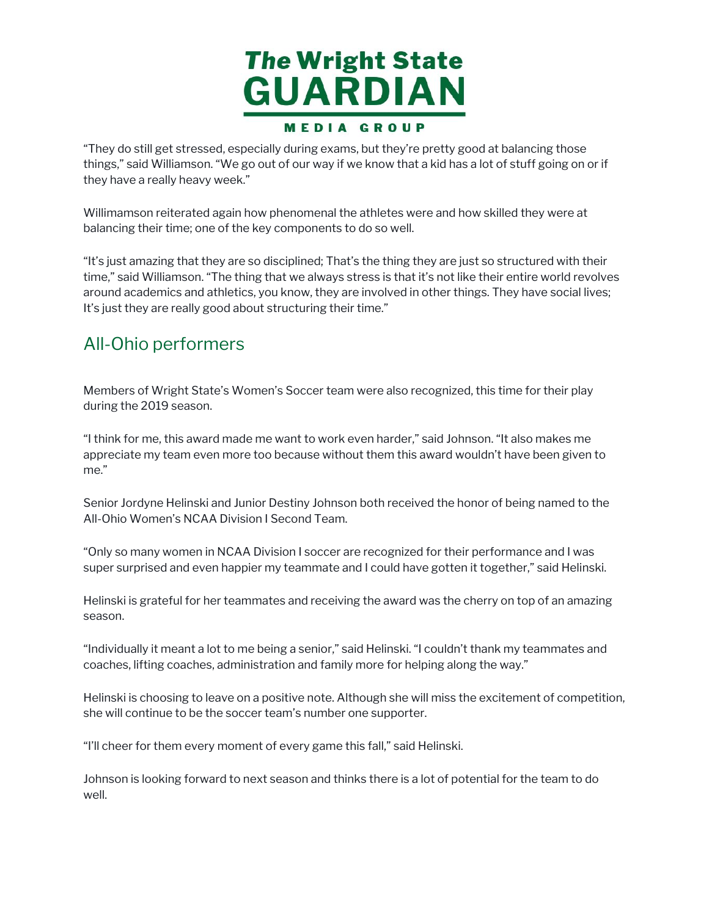

"They do still get stressed, especially during exams, but they're pretty good at balancing those things," said Williamson. "We go out of our way if we know that a kid has a lot of stuff going on or if they have a really heavy week."

 Willimamson reiterated again how phenomenal the athletes were and how skilled they were at balancing their time; one of the key components to do so well.

 "It's just amazing that they are so disciplined; That's the thing they are just so structured with their time," said Williamson. "The thing that we always stress is that it's not like their entire world revolves around academics and athletics, you know, they are involved in other things. They have social lives; It's just they are really good about structuring their time." ey do still<br>gs," said V<br>have a re<br>imamson<br>imamson<br>ncing the<br>just amaz<br>," said Wi<br>und acade They do still get stressed, especially during exams, but they're pretty good at balancing thosen they they to they moved in the things the stressed, especially heavy week."<br>
things," said Williamson relierated again how ph

#### All-Ohio performers

 Members of Wright State's Women's Soccer team were also recognized, this time for their play during the 2019 season.

 "I think for me, this award made me want to work even harder," said Johnson. "It also makes me appreciate my team even more too because without them this award wouldn't have been given to 's just the<br>\ll-Ohic<br>lembers o<br>lembers o<br>uring the 2<br>think for 1<br>ppreciate<br>ne."<br>enior Jord me."

 Senior Jordyne Helinski and Junior Destiny Johnson both received the honor of being named to the All-Ohio Women's NCAA Division I Second Team.

 "Only so many women in NCAA Division I soccer are recognized for their performance and I was super surprised and even happier my teammate and I could have gotten it together," said Helinski. nio Wor<br>so mar<br>surpris<br>ski is gr<br>n.<br>idually

 Helinski is grateful for her teammates and receiving the award was the cherry on top of an amazing season.

 "Individually it meant a lot to me being a senior," said Helinski. "I couldn't thank my teammates and coaches, lifting coaches, administration and family more for helping along the way."

 Helinski is choosing to leave on a positive note. Although she will miss the excitement of competition, she will continue to be the soccer team's number one supporter.

"I'll cheer for them every moment of every game this fall," said Helinski.

 Johnson is looking forward to next season and thinks there is a lot of potential for the team to do well.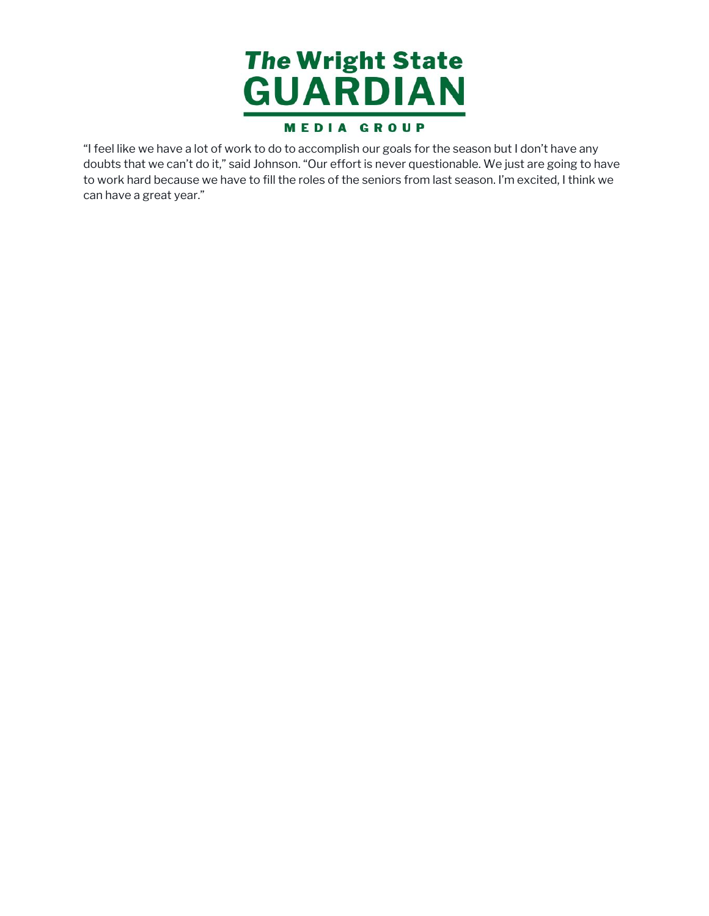

"I feel like we have a lot of work to do to accomplish our goals for the season but I don't have any to work hard because we have to fill the roles of the seniors from last season. I'm excited, I think we can have a great year.""I feel like we have a lot of work to do to accomplish our goals for the season but I don't have any<br>doubts that we can't do it," said Johnson. "Our effort is never questionable. We just are going to h<br>to work hard because doubts that we can't do it," said Johnson. "Our effort is never questionable. We just are going to have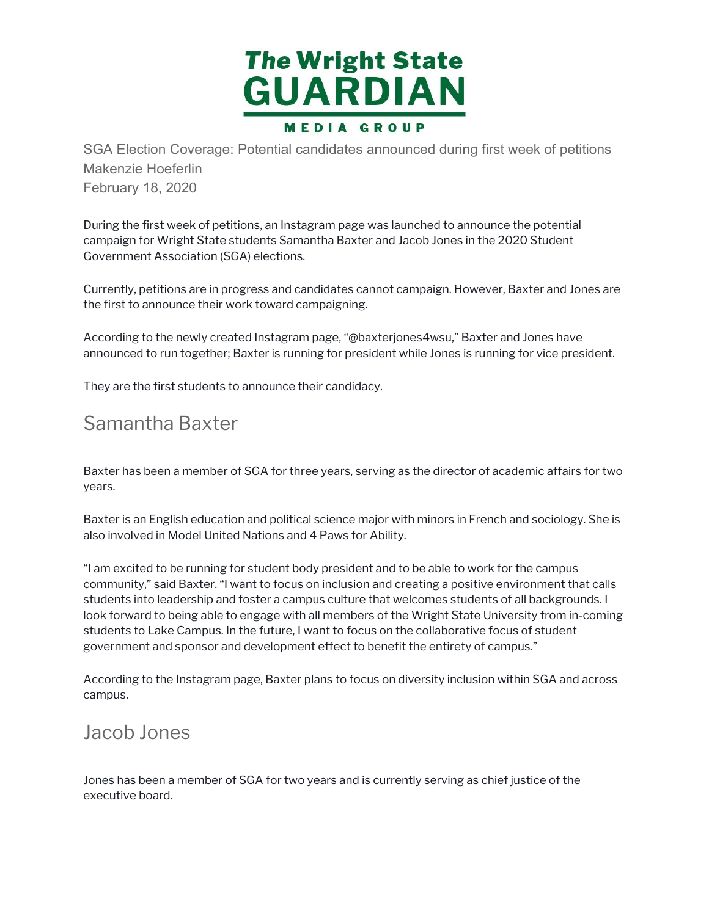

SGA Election Coverage: Potential candidates announced during first week of petitions Makenzie Hoeferlin February 18, 2020

 During the first week of petitions, an Instagram page was launched to announce the potential campaign for Wright State students Samantha Baxter and Jacob Jones in the 2020 Student Government Association (SGA) elections. ing the first week of p<br>mpaign for Wright Stat<br>vernment Association<br>rently, petitions are in<br>first to announce their<br>cording to the newly cr<br>nounced to run togethe<br>ey are the first student<br>amantha Baxt

 Currently, petitions are in progress and candidates cannot campaign. However, Baxter and Jones are the first to announce their work toward campaigning.

 According to the newly created Instagram page, "@baxterjones4wsu," Baxter and Jones have announced to run together; Baxter is running for president while Jones is running for vice president.

They are the first students to announce their candidacy.

#### Samantha Baxter

 Baxter has been a member of SGA for three years, serving as the director of academic affairs for two years.

 Baxter is an English education and political science major with minors in French and sociology. She is also involved in Model United Nations and 4 Paws for Ability.

 "I am excited to be running for student body president and to be able to work for the campus community," said Baxter. "I want to focus on inclusion and creating a positive environment that calls students into leadership and foster a campus culture that welcomes students of all backgrounds. I look forward to being able to engage with all members of the Wright State University from in-coming students to Lake Campus. In the future, I want to focus on the collaborative focus of student government and sponsor and development effect to benefit the entirety of campus." axter has been a member of SGA for three years, serving as the director of<br>ears.<br>
axter is an English education and political science major with minors in Freu<br>
so involved in Model United Nations and 4 Paws for Ability.<br>

 According to the Instagram page, Baxter plans to focus on diversity inclusion within SGA and across campus.

#### Jacob Jones

Jones has been a member of SGA for two years and is currently serving as chief justice of the<br>executive board. executive board.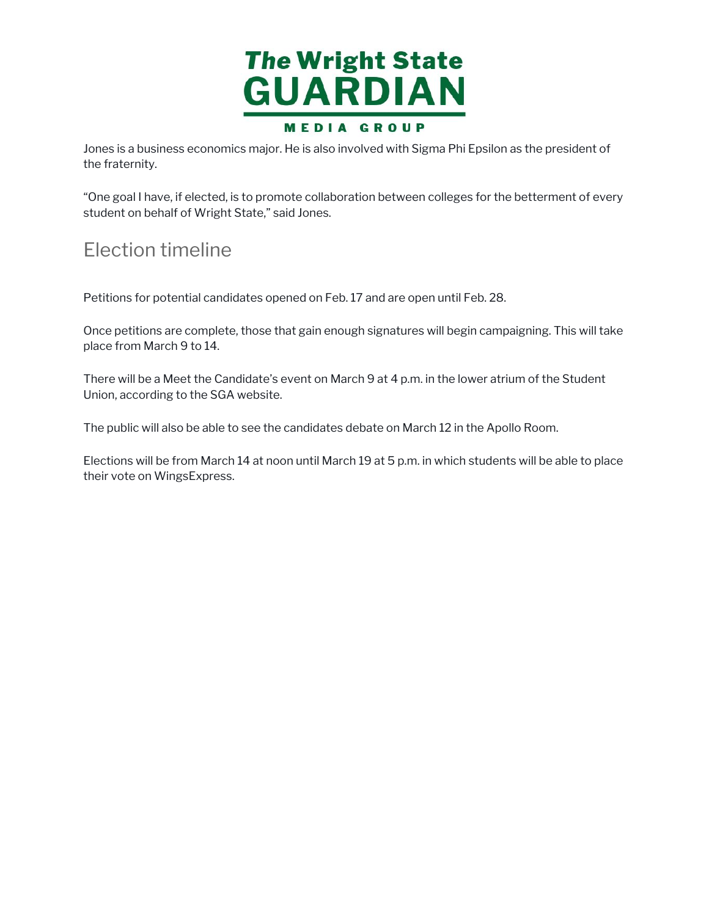

Jones is a business economics major. He is also involved with Sigma Phi Epsilon as the president of Jones is a bus<br>the fraternity.

 "One goal I have, if elected, is to promote collaboration between colleges for the betterment of every student on behalf of Wright State," said Jones. Jones is a business economics major. He is also involved with Sigma Phi Epsilon as the president of<br>the fraternity.<br>"One goal I have, if elected, is to promote collaboration between colleges for the betterment of eve<br>stude

# Election timeline

Petitions for potential candidates opened on Feb. 17 and are open until Feb. 28.

 place from March 9 to 14. ons<br>peti<br>fror<br>e will<br>n, acc Once petitions are complete, those that gain enough signatures will begin campaigning. This will take

 There will be a Meet the Candidate's event on March 9 at 4 p.m. in the lower atrium of the Student Union, according to the SGA website.

The public will also be able to see the candidates debate on March 12 in the Apollo Room.

 Elections will be from March 14 at noon until March 19 at 5 p.m. in which students will be able to place their vote on WingsExpress.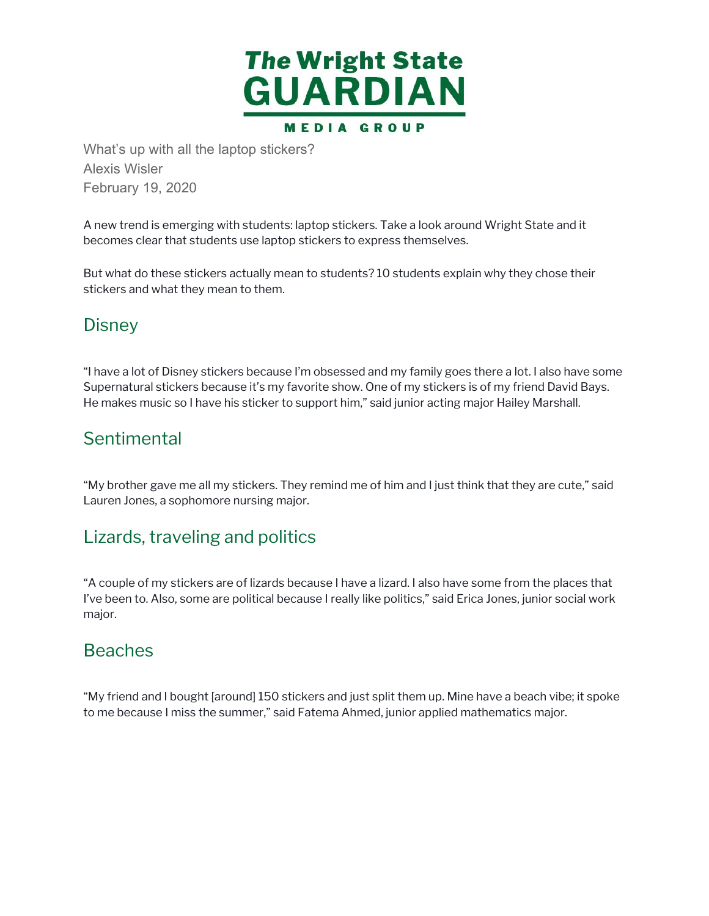

What's up with all the laptop stickers?<br>Alexis Wisler<br>February 19, 2020<br>Teoruary 19, 2020<br>A new trend is emerging with students: lapt<br>becomes clear that students use laptop stic<br>But what do these stickers actually mean to<br> Alexis Wisler February 19, 2020

 A new trend is emerging with students: laptop stickers. Take a look around Wright State and it becomes clear that students use laptop stickers to express themselves.

 But what do these stickers actually mean to students? 10 students explain why they chose their stickers and what they mean to them.

#### **Disney**

 "I have a lot of Disney stickers because I'm obsessed and my family goes there a lot. I also have some Supernatural stickers because it's my favorite show. One of my stickers is of my friend David Bays. He makes music so I have his sticker to support him," said junior acting major Hailey Marshall.

#### **Sentimental**

 "My brother gave me all my stickers. They remind me of him and I just think that they are cute," said Lauren Jones, a sophomore nursing major.

#### Lizards, traveling and politics

 "A couple of my stickers are of lizards because I have a lizard. I also have some from the places that I've been to. Also, some are political because I really like politics," said Erica Jones, junior social work major.

#### Beaches

 "My friend and I bought [around] 150 stickers and just split them up. Mine have a beach vibe; it spoke to me because I miss the summer," said Fatema Ahmed, junior applied mathematics major.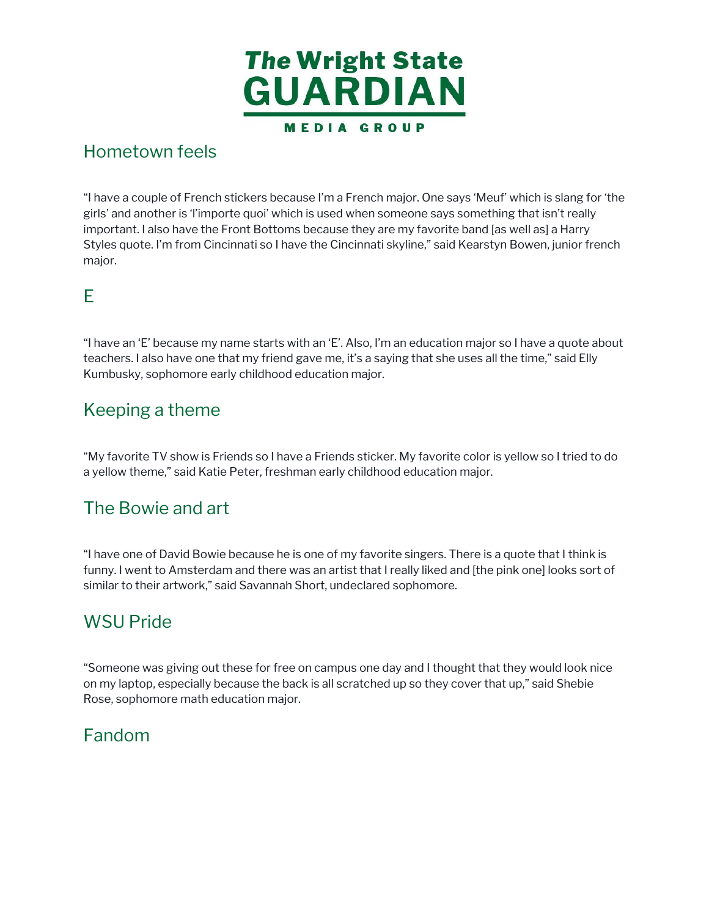

#### **Hometown feels**

 "I have a couple of French stickers because I'm a French major. One says 'Meuf' which is slang for 'the girls' and another is 'l'importe quoi' which is used when someone says something that isn't really important. I also have the Front Bottoms because they are my favorite band [as well as] a Harry Styles quote. I'm from Cincinnati so I have the Cincinnati skyline," said Kearstyn Bowen, junior french have a cc<br>irls' and al<br>mportant.<br>tyles quot<br>najor.<br>.<br>have an 'l<br>eachers. I Hometown feels<br>
"I have a couple of Frencl<br>
girls' and another is Timp<br>
important. I also have the<br>
Styles quote. I'm from Cir<br>
major.<br>
E<br>
"I have an 'E' because my<br>
teachers. I also have one<br>
Kumbusky, sophomore e<br>
Keepin major.

#### E

 "I have an 'E' because my name starts with an 'E'. Also, I'm an education major so I have a quote about teachers. I also have one that my friend gave me, it's a saying that she uses all the time," said Elly Kumbusky, sophomore early childhood education major.

# Kumbusky, sophomore ea<br>Keeping a theme

 "My favorite TV show is Friends so I have a Friends sticker. My favorite color is yellow so I tried to do a yellow theme," said Katie Peter, freshman early childhood education major.

#### The Bowie and art

 "I have one of David Bowie because he is one of my favorite singers. There is a quote that I think is funny. I went to Amsterdam and there was an artist that I really liked and [the pink one] looks sort of similar to their artwork," said Savannah Short, undeclared sophomore. My favc<br>yellow<br>The B<br>I have o<br>unny. I v<br>imilar tc<br>WSU

#### WSU Pride

 "Someone was giving out these for free on campus one day and I thought that they would look nice on my laptop, especially because the back is all scratched up so they cover that up," said Shebie Rose, sophomore math education major.

#### Fandom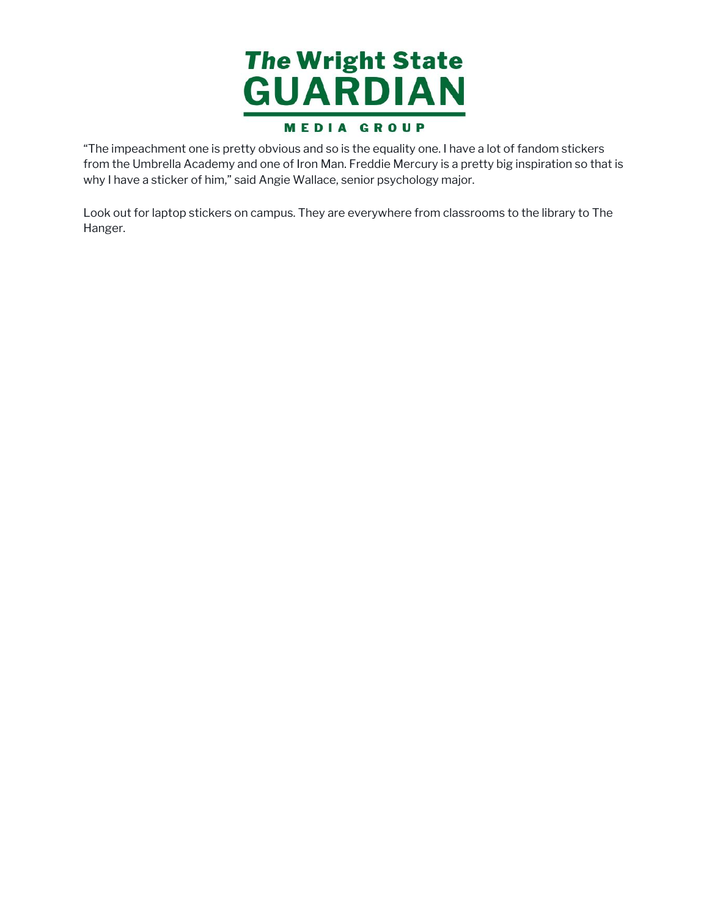

"The impeachment one is pretty obvious and so is the equality one. I have a lot of fandom stickers why I have a sticker of him," said Angie Wallace, senior psychology major. "The impeachment one is pretty obvious and so is the equality one. I have a lot of fandom stickers<br>from the Umbrella Academy and one of Iron Man. Freddie Mercury is a pretty big inspiration so tha<br>why I have a sticker of h from the Umbrella Academy and one of Iron Man. Freddie Mercury is a pretty big inspiration so that is

 Look out for laptop stickers on campus. They are everywhere from classrooms to the library to The Hanger.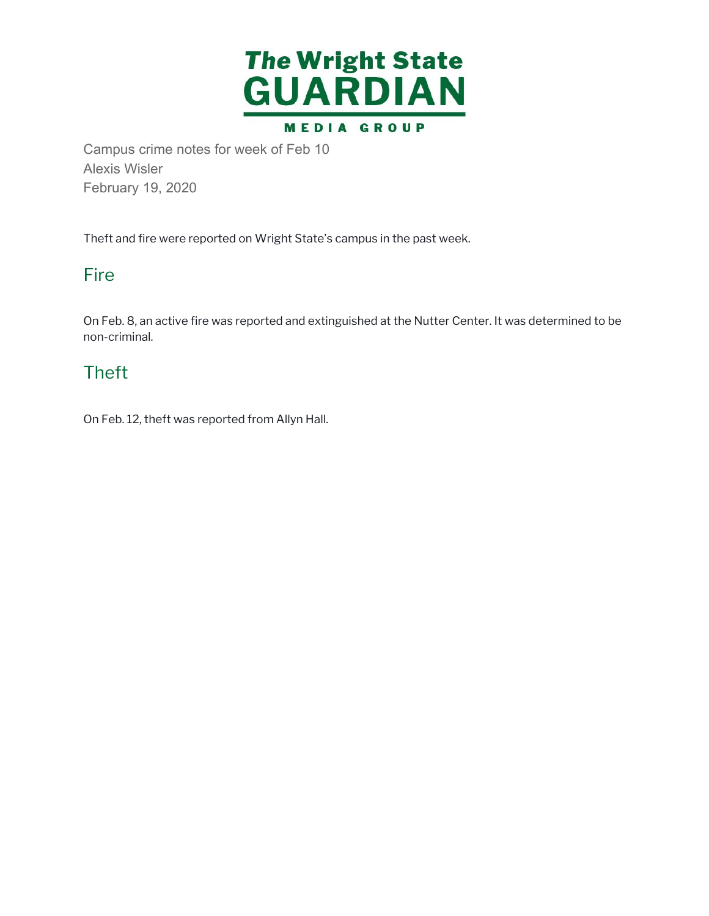

Campus crime notes for week of Feb 10<br>Alexis Wisler<br>February 19, 2020<br>Theft and fire were reported on Wright State's<br>Fire<br>On Feb. 8, an active fire was reported and exti<br>non-criminal.<br>Theft<br>On Feb. 12, theft was reported f Alexis Wisler February 19, 2020

Theft and fire were reported on Wright State's campus in the past week.

#### Fire

 On Feb. 8, an active fire was reported and extinguished at the Nutter Center. It was determined to be non-criminal.

#### Theft

On Feb. 12, theft was reported from Allyn Hall.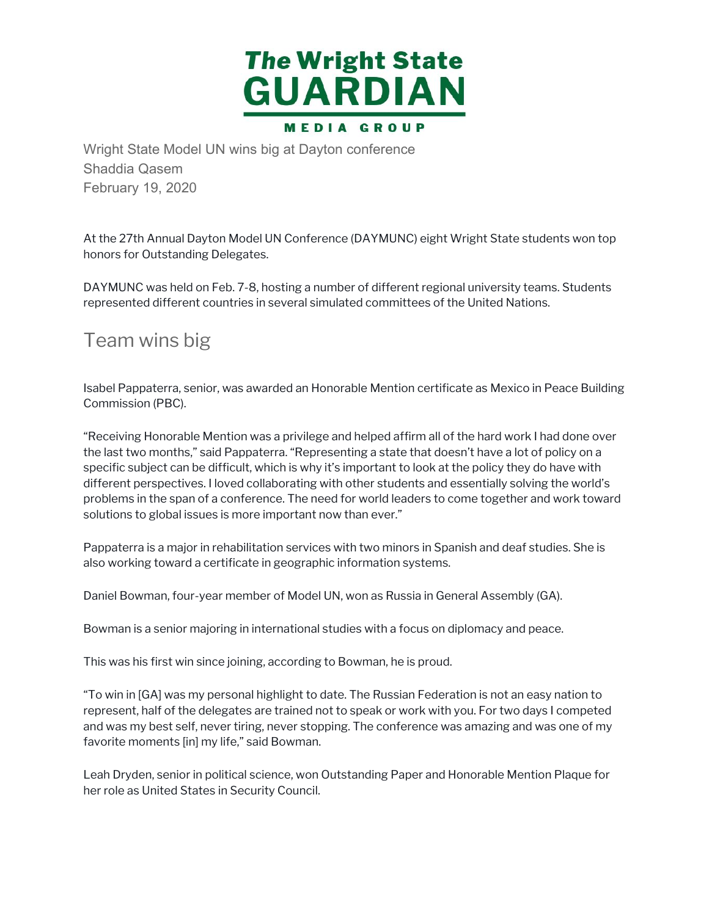

Shaddia Qasem February 19, 2020

 At the 27th Annual Dayton Model UN Conference (DAYMUNC) eight Wright State students won top honors for Outstanding Delegates.

 DAYMUNC was held on Feb. 7-8, hosting a number of different regional university teams. Students represented different countries in several simulated committees of the United Nations. the 27th Annual<br>nors for Outstan<br>YMUNC was he<br>presented differe<br>earn WinS<br>abel Pappaterra,<br>mmission (PBC)

## Team wins big

 Isabel Pappaterra, senior, was awarded an Honorable Mention certificate as Mexico in Peace Building Commission (PBC).

 "Receiving Honorable Mention was a privilege and helped affirm all of the hard work I had done over the last two months," said Pappaterra. "Representing a state that doesn't have a lot of policy on a specific subject can be difficult, which is why it's important to look at the policy they do have with different perspectives. I loved collaborating with other students and essentially solving the world's problems in the span of a conference. The need for world leaders to come together and work toward solutions to global issues is more important now than ever." Wright State Model UN wins big at Dayton conference<br>Shaddia Qasem<br>February 19, 2020<br>At the 27th Annual Dayton Model UN Conference (DAYMUNC,<br>Pebruary 19, 2020<br>At the 27th Annual Dayton Model UN Conference (DAYMUNC)<br>honors f

 Pappaterra is a major in rehabilitation services with two minors in Spanish and deaf studies. She is also working toward a certificate in geographic information systems.

Daniel Bowman, four-year member of Model UN, won as Russia in General Assembly (GA).

Bowman is a senior majoring in international studies with a focus on diplomacy and peace.

This was his first win since joining, according to Bowman, he is proud.

 "To win in [GA] was my personal highlight to date. The Russian Federation is not an easy nation to represent, half of the delegates are trained not to speak or work with you. For two days I competed and was my best self, never tiring, never stopping. The conference was amazing and was one of my favorite moments [in] my life," said Bowman.

 Leah Dryden, senior in political science, won Outstanding Paper and Honorable Mention Plaque for her role as United States in Security Council.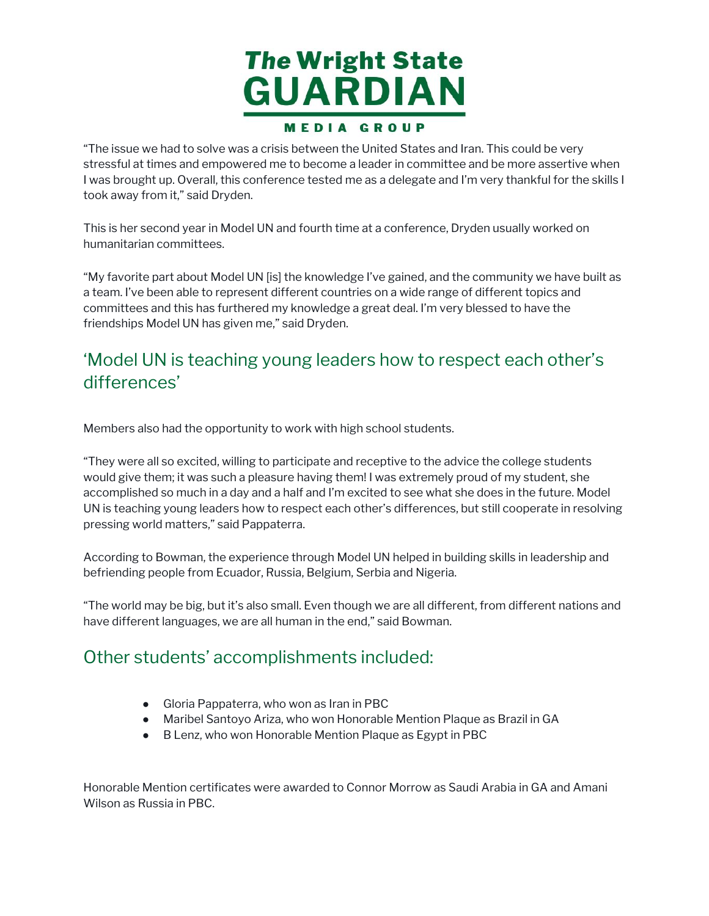

"The issue we had to solve was a crisis between the United States and Iran. This could be very stressful at times and empowered me to become a leader in committee and be more assertive when I was brought up. Overall, this conference tested me as a delegate and I'm very thankful for the skills I took away from it," said Dryden.

 This is her second year in Model UN and fourth time at a conference, Dryden usually worked on humanitarian committees.

 "My favorite part about Model UN [is] the knowledge I've gained, and the community we have built as a team. I've been able to represent different countries on a wide range of different topics and committees and this has furthered my knowledge a great deal. I'm very blessed to have the friendships Model UN has given me," said Dryden.

#### 'Model UN is teaching young leaders how to respect each other's differences'

Members also had the opportunity to work with high school students.

 "They were all so excited, willing to participate and receptive to the advice the college students would give them; it was such a pleasure having them! I was extremely proud of my student, she accomplished so much in a day and a half and I'm excited to see what she does in the future. Model UN is teaching young leaders how to respect each other's differences, but still cooperate in resolving pressing world matters," said Pappaterra. The issue we had to solve was a crisis between the United States and Iran. This could be very<br>threse we had to solve was a crisis between the United States and Iran. This could be very<br>look away from it," said Dryden.<br>Use

 According to Bowman, the experience through Model UN helped in building skills in leadership and befriending people from Ecuador, Russia, Belgium, Serbia and Nigeria.

 "The world may be big, but it's also small. Even though we are all different, from different nations and have different languages, we are all human in the end," said Bowman.

#### Other students' accomplishments included:

- Gloria Pappaterra, who won as Iran in PBC
- Maribel Santoyo Ariza, who won Honorable Mention Plaque as Brazil in GA
- B Lenz, who won Honorable Mention Plaque as Egypt in PBC

 Honorable Mention certificates were awarded to Connor Morrow as Saudi Arabia in GA and Amani Wilson as Russia in PBC.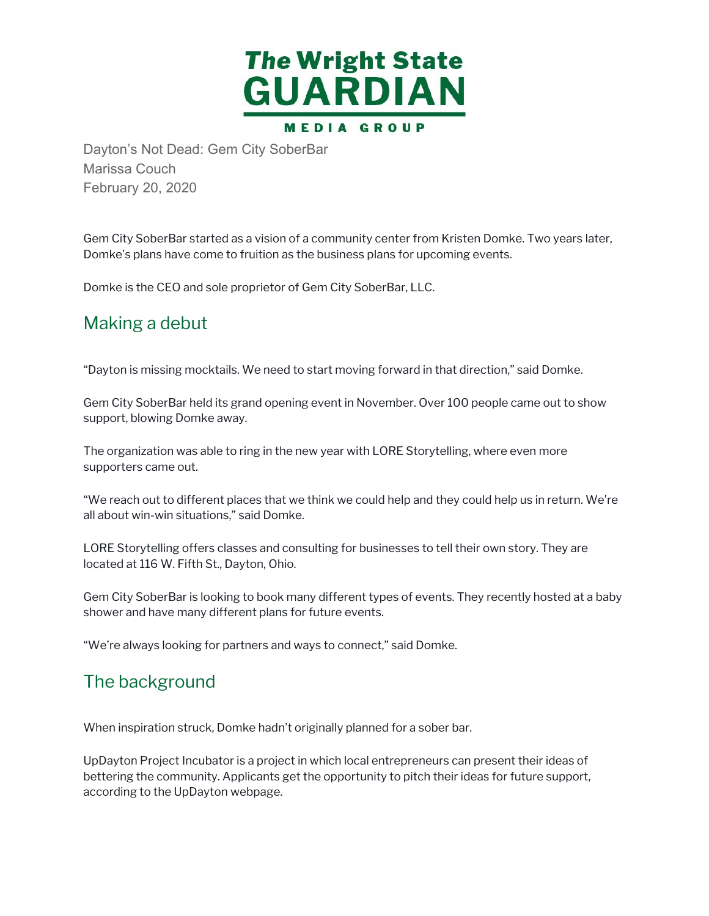

Dayton's Not Dead: Gem City SoberBar<br>Marissa Couch<br>February 20, 2020<br>Gem City SoberBar started as a vision of a cor<br>Domke's plans have come to fruition as the bu<br>Domke is the CEO and sole proprietor of Gem<br>Making a debut<br>" Marissa Couch February 20, 2020

 Gem City SoberBar started as a vision of a community center from Kristen Domke. Two years later, Domke's plans have come to fruition as the business plans for upcoming events.

Domke is the CEO and sole proprietor of Gem City SoberBar, LLC.

# Making a debut ke's pla<br>ke is th<br>**king**<br>ton is n<br>City Sc

"Dayton is missing mocktails. We need to start moving forward in that direction," said Domke.

 Gem City SoberBar held its grand opening event in November. Over 100 people came out to show support, blowing Domke away.

 supporters came out. blowing |<br>anization<br>ers came The organization was able to ring in the new year with LORE Storytelling, where even more

 "We reach out to different places that we think we could help and they could help us in return. We're "We reach out to different places that we<br>all about win-win situations," said Domke.

 LORE Storytelling offers classes and consulting for businesses to tell their own story. They are located at 116 W. Fifth St., Dayton, Ohio. LORE Storytelling offers classes and consulting for businesses to tell their own story. They are<br>located at 116 W. Fifth St., Dayton, Ohio.<br>Gem City SoberBar is looking to book many different types of events. They recently

shower and have many different plans for future events.

"We're always looking for partners and ways to connect," said Domke.

#### The background

When inspiration struck, Domke hadn't originally planned for a sober bar.

 UpDayton Project Incubator is a project in which local entrepreneurs can present their ideas of bettering the community. Applicants get the opportunity to pitch their ideas for future support, according to the UpDayton webpage.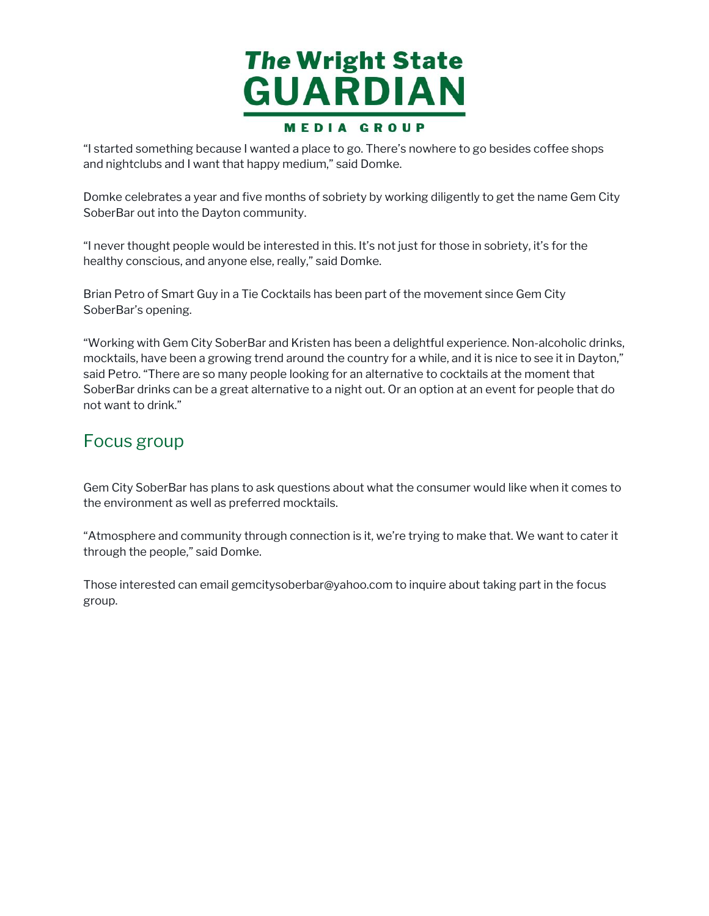

"I started something because I wanted a place to go. There's nowhere to go besides coffee shops and nightclubs and I want that happy medium," said Domke.

 Domke celebrates a year and five months of sobriety by working diligently to get the name Gem City SoberBar out into the Dayton community. started sc<br>nd nightclu<br>omke cele<br>oberBar ou<br>never tho<br>ealthy con<br>rian Petro<br>oberBar's

 "I never thought people would be interested in this. It's not just for those in sobriety, it's for the healthy conscious, and anyone else, really," said Domke.

 Brian Petro of Smart Guy in a Tie Cocktails has been part of the movement since Gem City SoberBar's opening.

 "Working with Gem City SoberBar and Kristen has been a delightful experience. Non-alcoholic drinks, mocktails, have been a growing trend around the country for a while, and it is nice to see it in Dayton," said Petro. "There are so many people looking for an alternative to cocktails at the moment that SoberBar drinks can be a great alternative to a night out. Or an option at an event for people that do not want to drink." "Working with Gen<br>mocktails, have be<br>said Petro. "There a<br>SoberBar drinks ca<br>not want to drink."<br>FOCUS grOUP "I started something because I wanted a place to go. There's nowhere to go besides coffee shops<br>and nightclubs and I want that happy medium," said Domke.<br>SoberBar out into the Dayton community.<br>Some Referause a year and fi

 Gem City SoberBar has plans to ask questions about what the consumer would like when it comes to the environment as well as preferred mocktails.

 "Atmosphere and community through connection is it, we're trying to make that. We want to cater it through the people," said Domke.

 Those interested can email [gemcitysoberbar@yahoo.com](mailto:gemcitysoberbar@yahoo.com) to inquire about taking part in the focus group.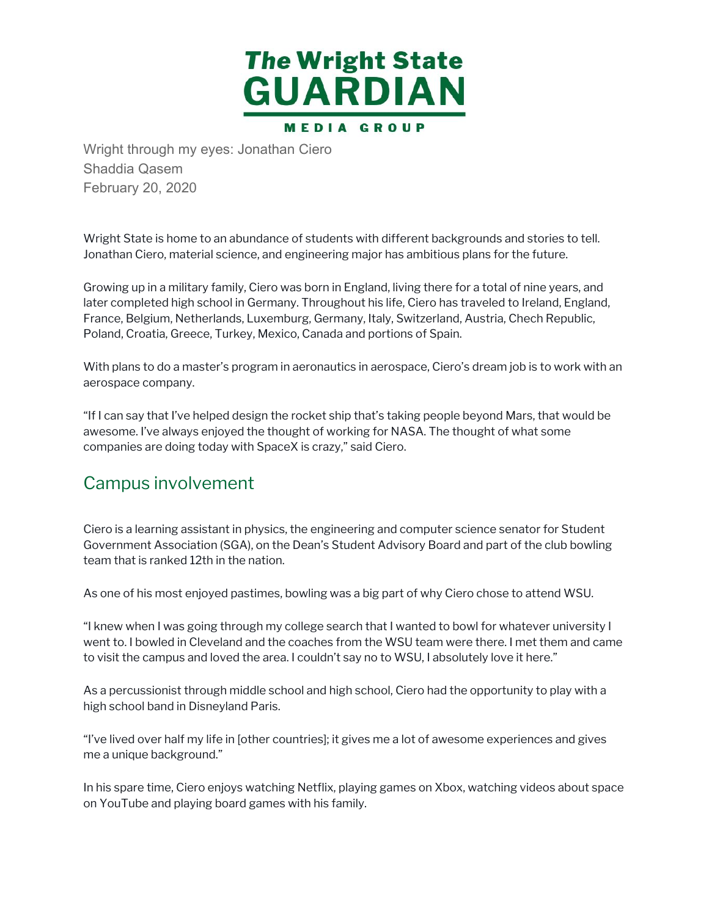

Shaddia Qasem February 20, 2020

 Wright State is home to an abundance of students with different backgrounds and stories to tell. Jonathan Ciero, material science, and engineering major has ambitious plans for the future.

 Growing up in a military family, Ciero was born in England, living there for a total of nine years, and later completed high school in Germany. Throughout his life, Ciero has traveled to Ireland, England, France, Belgium, Netherlands, Luxemburg, Germany, Italy, Switzerland, Austria, Chech Republic, ht St<br>than<br>ving u<br>comp Wright through my eyes: Jonathan Ciero<br>Shaddia Qasem<br>February 20, 2020<br>Wright State is home to an abundance of stud<br>Jonathan Ciero, material science, and engineer<br>Growing up in a military family, Ciero was born<br>Itare compl Poland, Croatia, Greece, Turkey, Mexico, Canada and portions of Spain.

 With plans to do a master's program in aeronautics in aerospace, Ciero's dream job is to work with an ce, Bel<br>nd, Cro<br>plans<br>space aerospace company.

 "If I can say that I've helped design the rocket ship that's taking people beyond Mars, that would be awesome. I've always enjoyed the thought of working for NASA. The thought of what some companies are doing today with SpaceX is crazy," said Ciero.

#### Campus involvement

 Ciero is a learning assistant in physics, the engineering and computer science senator for Student Government Association (SGA), on the Dean's Student Advisory Board and part of the club bowling team that is ranked 12th in the nation.

As one of his most enjoyed pastimes, bowling was a big part of why Ciero chose to attend WSU.

 "I knew when I was going through my college search that I wanted to bowl for whatever university I went to. I bowled in Cleveland and the coaches from the WSU team were there. I met them and came to visit the campus and loved the area. I couldn't say no to WSU, I absolutely love it here."

 As a percussionist through middle school and high school, Ciero had the opportunity to play with a high school band in Disneyland Paris.

 "I've lived over half my life in [other countries]; it gives me a lot of awesome experiences and gives me a unique background."

 In his spare time, Ciero enjoys watching Netflix, playing games on Xbox, watching videos about space on YouTube and playing board games with his family.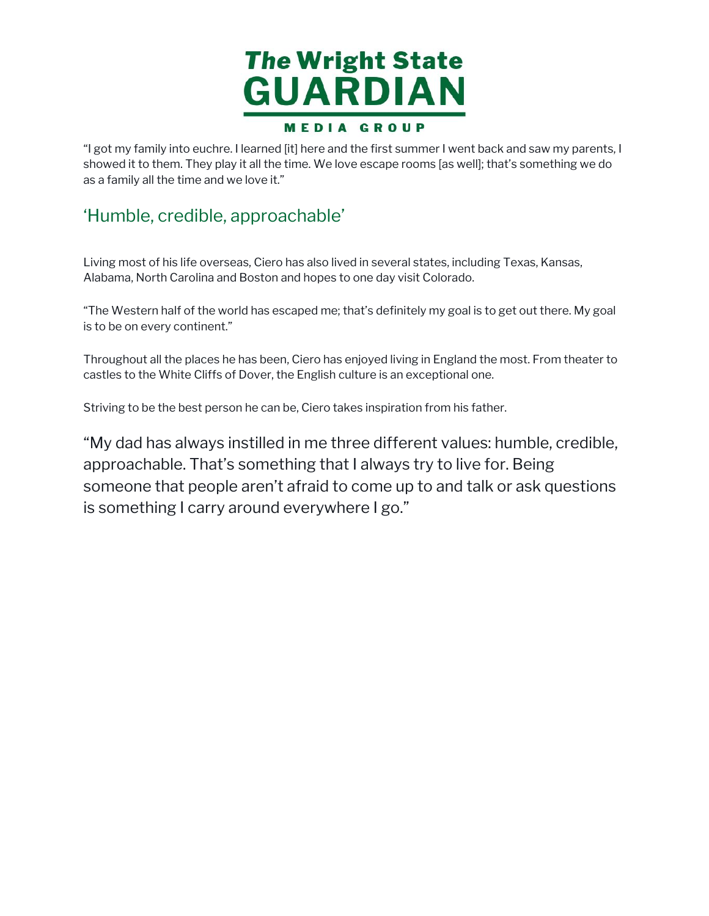

"I got my family into euchre. I learned [it] here and the first summer I went back and saw my parents, I showed it to them. They play it all the time. We love escape rooms [as well]; that's something we do as a family all the time and we love it." got my fami<br>nowed it to tl<br>s a family all<br>**Humble**,<br>iving most of<br>labama, Nori

#### 'Humble, credible, approachable'

 Living most of his life overseas, Ciero has also lived in several states, including Texas, Kansas, Alabama, North Carolina and Boston and hopes to one day visit Colorado.

 "The Western half of the world has escaped me; that's definitely my goal is to get out there. My goal is to be on every continent."

 Throughout all the places he has been, Ciero has enjoyed living in England the most. From theater to castles to the White Cliffs of Dover, the English culture is an exceptional one.

Striving to be the best person he can be, Ciero takes inspiration from his father.

 "My dad has always instilled in me three different values: humble, credible, approachable. That's something that I always try to live for. Being someone that people aren't afraid to come up to and talk or ask questions is something I carry around everywhere I go.""I got my family into euchre. I learned [it] here and the first summer I went back and saw my parents, Ishowed it to them. They play it all the time. We love escape rooms [as well]; that's something we do<br>showed it to them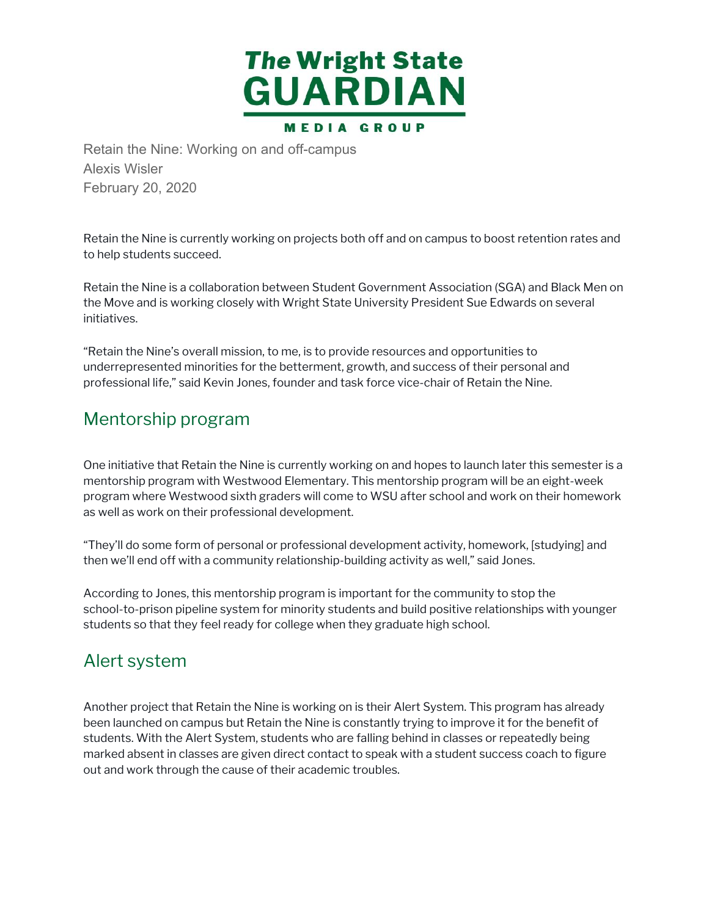

Alexis Wisler February 20, 2020

 Retain the Nine is currently working on projects both off and on campus to boost retention rates and to help students succeed.

 Retain the Nine is a collaboration between Student Government Association (SGA) and Black Men on the Move and is working closely with Wright State University President Sue Edwards on several etain the Nine is c<br>help students su<br>etain the Nine is a<br>e Move and is wo<br>tiatives.<br>letain the Nine's c<br>derrepresented<br>ofessional life," s<br>lentOrShip p initiatives.

 "Retain the Nine's overall mission, to me, is to provide resources and opportunities to underrepresented minorities for the betterment, growth, and success of their personal and professional life," said Kevin Jones, founder and task force vice-chair of Retain the Nine.

#### Mentorship program

 One initiative that Retain the Nine is currently working on and hopes to launch later this semester is a mentorship program with Westwood Elementary. This mentorship program will be an eight-week program where Westwood sixth graders will come to WSU after school and work on their homework as well as work on their professional development.

 "They'll do some form of personal or professional development activity, homework, [studying] and then we'll end off with a community relationship-building activity as well," said Jones.

 According to Jones, this mentorship program is important for the community to stop the school-to-prison pipeline system for minority students and build positive relationships with younger students so that they feel ready for college when they graduate high school. entorship progr<br>ogram where V<br>well as work or<br>hey'll do some<br>en we'll end off<br>ccording to Jon<br>hool-to-prison<br>udents so that i<br>**lert** Sys**ter** 

#### Alert system

 Another project that Retain the Nine is working on is their Alert System. This program has already been launched on campus but Retain the Nine is constantly trying to improve it for the benefit of students. With the Alert System, students who are falling behind in classes or repeatedly being marked absent in classes are given direct contact to speak with a student success coach to figure out and work through the cause of their academic troubles.Retain the Nine: Working on and off-campus<br>Alexis Wisler<br>Alexis Wisler<br>February 20, 2020<br>Retain the Nine is currently working on projects bot<br>to help students succeed.<br>Retain the Nine's overall mission, to me, is to provi<br>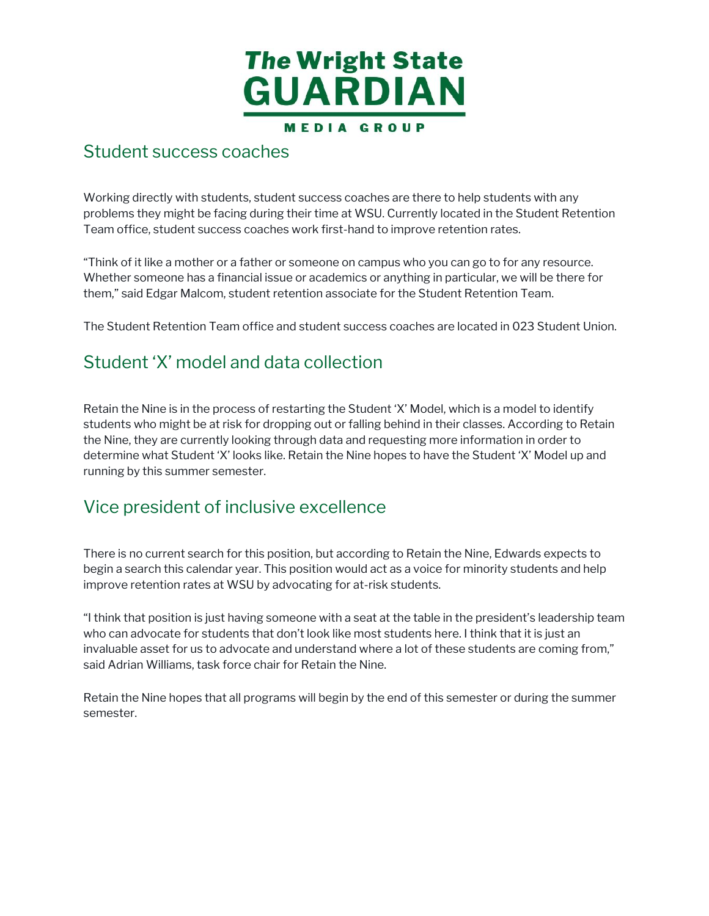

#### Student success coaches

 Working directly with students, student success coaches are there to help students with any problems they might be facing during their time at WSU. Currently located in the Student Retention Team office, student success coaches work first-hand to improve retention rates.

 "Think of it like a mother or a father or someone on campus who you can go to for any resource. Whether someone has a financial issue or academics or anything in particular, we will be there for them," said Edgar Malcom, student retention associate for the Student Retention Team.

The Student Retention Team office and student success coaches are located in 023 Student Union.

#### Student 'X' model and data collection

 Retain the Nine is in the process of restarting the Student 'X' Model, which is a model to identify students who might be at risk for dropping out or falling behind in their classes. According to Retain the Nine, they are currently looking through data and requesting more information in order to determine what Student 'X' looks like. Retain the Nine hopes to have the Student 'X' Model up and running by this summer semester. Student success coaches<br>
Working directly with students, studen<br>
problems they might be facing during<br>
Team office, student success coaches<br>
"Think of it like a mother or a father or<br>
"Whether someone has a financial issue

#### Vice president of inclusive excellence

 There is no current search for this position, but according to Retain the Nine, Edwards expects to begin a search this calendar year. This position would act as a voice for minority students and help improve retention rates at WSU by advocating for at-risk students.

 "I think that position is just having someone with a seat at the table in the president's leadership team who can advocate for students that don't look like most students here. I think that it is just an invaluable asset for us to advocate and understand where a lot of these students are coming from," said Adrian Williams, task force chair for Retain the Nine.

 Retain the Nine hopes that all programs will begin by the end of this semester or during the summer semester.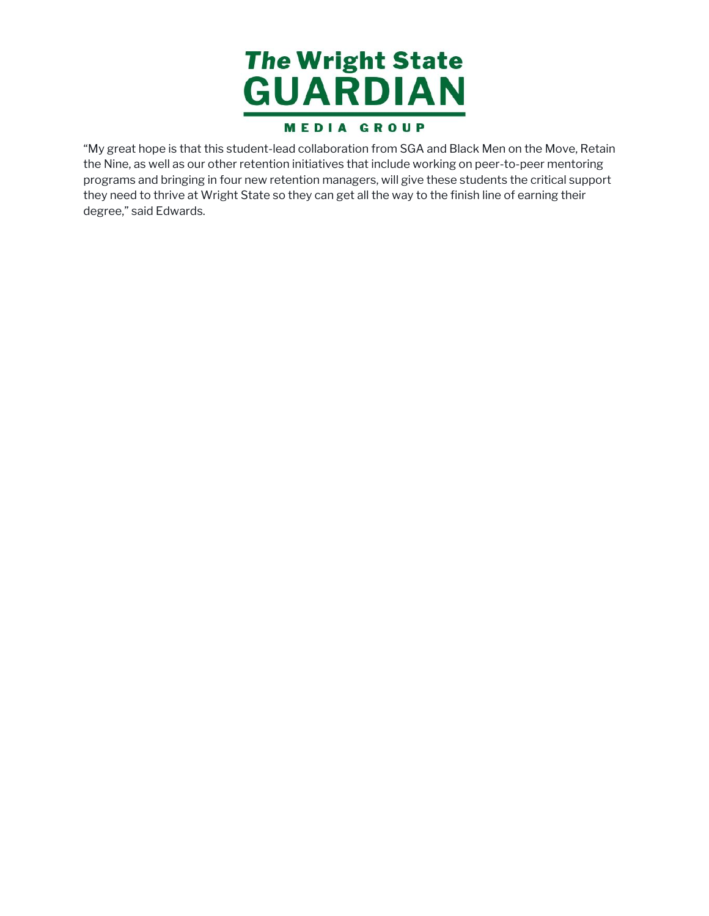

"My great hope is that this student-lead collaboration from SGA and Black Men on the Move, Retain they need to thrive at Wright State so they can get all the way to the finish line of earning their degree," said Edwards.<sub>/ great</sub><br>Nine, a<br>grams "My great hope is that this student-lead collaboration from SGA and Black Men on the Move, Retain<br>the Nine, as well as our other retention initiatives that include working on peer-to-peer mentoring<br>programs and bringing in the Nine, as well as our other retention initiatives that include working on peer-to-peer mentoring programs and bringing in four new retention managers, will give these students the critical support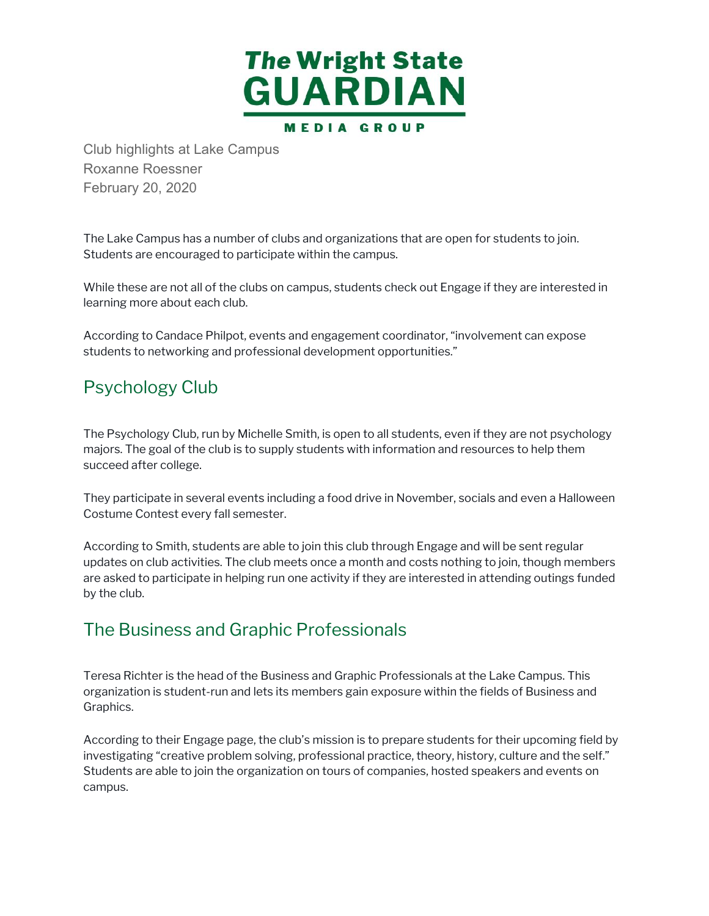

Roxanne Roessner February 20, 2020

 The Lake Campus has a number of clubs and organizations that are open for students to join. Students are encouraged to participate within the campus.

 While these are not all of the clubs on campus, students check out Engage if they are interested in learning more about each club. Lake Campus<br>dents are enco<br>le these are nc<br>ording to Cand<br>ording to Cand<br>dents to netwo<br>ychology

 According to Candace Philpot, events and engagement coordinator, "involvement can expose students to networking and professional development opportunities."

#### Psychology Club

 The Psychology Club, run by Michelle Smith, is open to all students, even if they are not psychology majors. The goal of the club is to supply students with information and resources to help them succeed after college.

 They participate in several events including a food drive in November, socials and even a Halloween Costume Contest every fall semester.

 According to Smith, students are able to join this club through Engage and will be sent regular updates on club activities. The club meets once a month and costs nothing to join, though members are asked to participate in helping run one activity if they are interested in attending outings funded by the club. Club highlights at Lake Campus<br>Roxanne Roessner<br>February 20, 2020<br>The Lake Campus has a number of cl<br>Students are encouraged to participa<br>While these are not all of the clubs of<br>learning more about each club.<br>According to

#### The Business and Graphic Professionals

 Teresa Richter is the head of the Business and Graphic Professionals at the Lake Campus. This organization is student-run and lets its members gain exposure within the fields of Business and Graphics.

 According to their Engage page, the club's mission is to prepare students for their upcoming field by investigating "creative problem solving, professional practice, theory, history, culture and the self." Students are able to join the organization on tours of companies, hosted speakers and events on campus.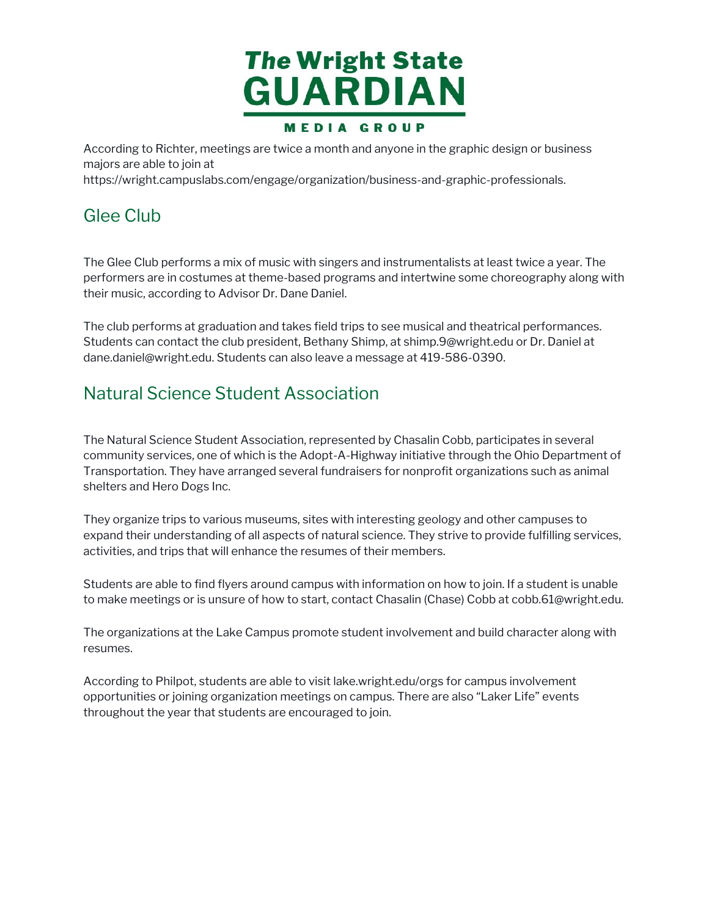

According to Richter, meetings are twice a month and anyone in the graphic design or business majors are able to join at According to R<br>majors are able<br>https://wright.e<br>Glee Club

[https://wright.campuslabs.com/engage/organization/business-and-graphic-professionals.](https://wright.campuslabs.com/engage/organization/business-and-graphic-professionals)

 The Glee Club performs a mix of music with singers and instrumentalists at least twice a year. The performers are in costumes at theme-based programs and intertwine some choreography along with their music, according to Advisor Dr. Dane Daniel.

 The club performs at graduation and takes field trips to see musical and theatrical performances. Students can contact the club president, Bethany Shimp, at [shimp.9@wright.edu](mailto:shimp.9@wright.edu) or Dr. Daniel at [dane.daniel@wright.edu.](mailto:dane.daniel@wright.edu) Students can also leave a message at 419-586-0390.

#### Natural Science Student Association

 The Natural Science Student Association, represented by Chasalin Cobb, participates in several community services, one of which is the Adopt-A-Highway initiative through the Ohio Department of Transportation. They have arranged several fundraisers for nonprofit organizations such as animal shelters and Hero Dogs Inc. ne Glee Club performs a<br>erformers are in costum<br>eir music, according to<br>ne club performs at graat<br>udents can contact the<br>ine.daniel@wright.edu.<br>atural Science Stuc<br>ne Natural Science Stuc<br>mmunity services, one<br>ansportation According to Richter, meetings are twice a month and anyone in the graphic design or business<br>majors are able to join at<br>thus://wright.campuslabs.com/engage/organization/business-and-graphic-professionals.<br>According to Acc

 They organize trips to various museums, sites with interesting geology and other campuses to expand their understanding of all aspects of natural science. They strive to provide fulfilling services, activities, and trips that will enhance the resumes of their members.

 Students are able to find flyers around campus with information on how to join. If a student is unable to make meetings or is unsure of how to start, contact Chasalin (Chase) Cobb at [cobb.61@wright.edu.](mailto:cobb.61@wright.edu)

 The organizations at the Lake Campus promote student involvement and build character along with resumes.

 According to Philpot, students are able to visit [lake.wright.edu/orgs](https://lake.wright.edu/orgs) for campus involvement opportunities or joining organization meetings on campus. There are also "Laker Life" events throughout the year that students are encouraged to join.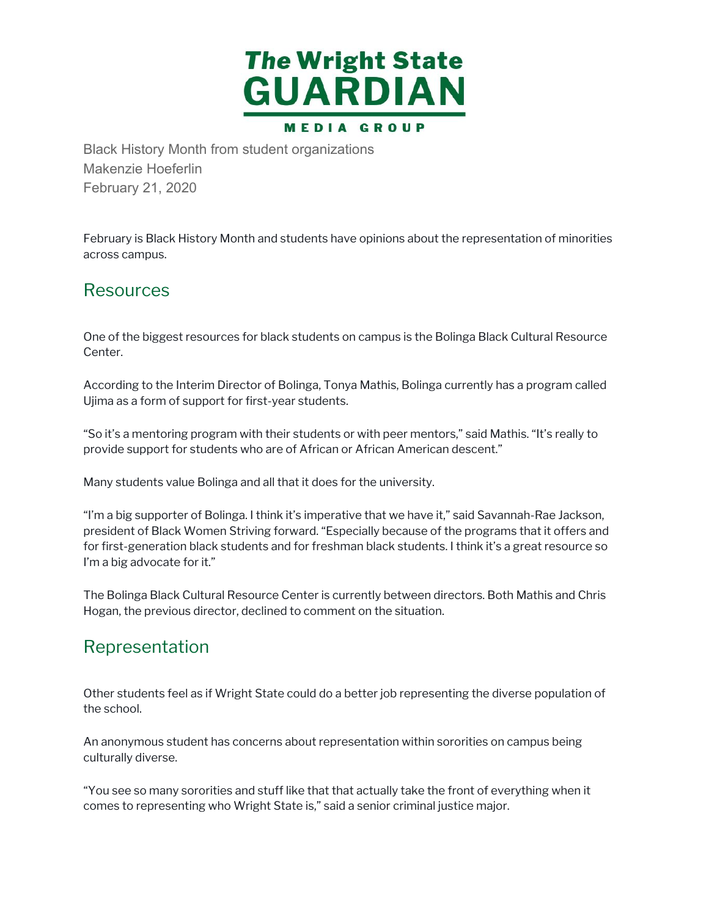

Makenzie Hoeferlin February 21, 2020

 February is Black History Month and students have opinions about the representation of minorities February is Blac<br>across campus.

#### Resources

 One of the biggest resources for black students on campus is the Bolinga Black Cultural Resource Center.

 According to the Interim Director of Bolinga, Tonya Mathis, Bolinga currently has a program called Ujima as a form of support for first-year students.

 "So it's a mentoring program with their students or with peer mentors," said Mathis. "It's really to provide support for students who are of African or African American descent."

Many students value Bolinga and all that it does for the university.

 "I'm a big supporter of Bolinga. I think it's imperative that we have it," said Savannah-Rae Jackson, president of Black Women Striving forward. "Especially because of the programs that it offers and for first-generation black students and for freshman black students. I think it's a great resource so I'm a big advocate for it." cording to the Int<br>ma as a form of st<br>bit's a mentoring<br>wide support for<br>ny students value<br>n a big supporter<br>sident of Black V<br>first-generation<br>a big advocate fo<br>e Bolinga Black C<br>gan, the previous<br>P**PPESENTATi**<br>ner studen Black History Month from student organizations<br>Makenzie Hoeferlin<br>February 21, 2020<br>February is Black History Month and students have op<br>across campus.<br>Resources<br>One of the biggest resources for black students on can<br>Cente

 The Bolinga Black Cultural Resource Center is currently between directors. Both Mathis and Chris Hogan, the previous director, declined to comment on the situation.

#### Representation

 Other students feel as if Wright State could do a better job representing the diverse population of the school.

 An anonymous student has concerns about representation within sororities on campus being An anonymous st<br>culturally diverse.

 "You see so many sororities and stuff like that that actually take the front of everything when it comes to representing who Wright State is," said a senior criminal justice major.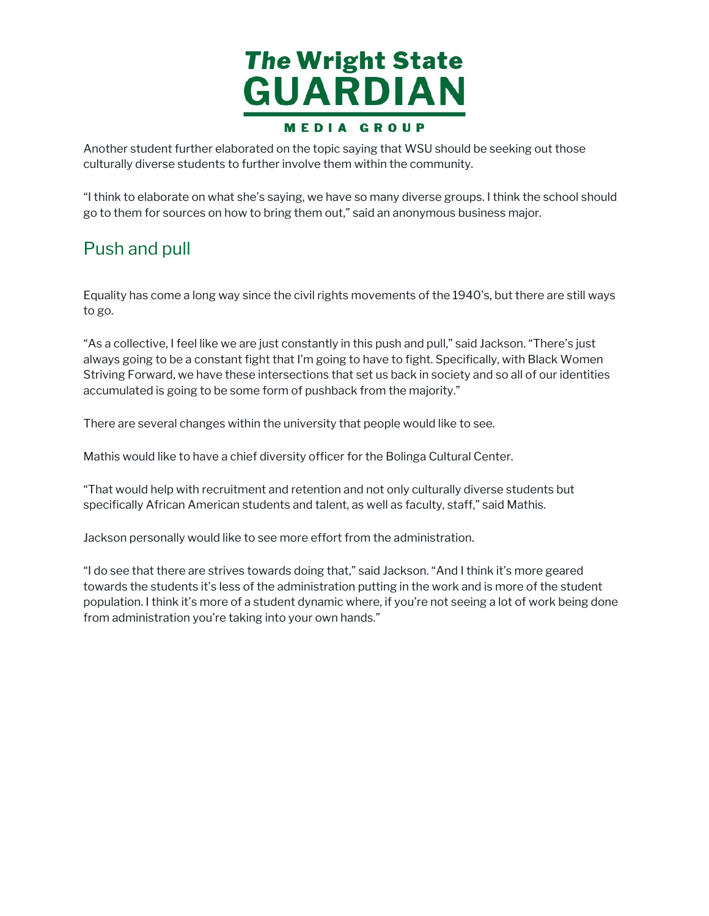

Another student further elaborated on the topic saying that WSU should be seeking out those culturally diverse students to further involve them within the community.

 "I think to elaborate on what she's saying, we have so many diverse groups. I think the school should go to them for sources on how to bring them out," said an anonymous business major. nother s<br>ulturally<br>think to<br>o to ther<br>Push a<br>quality h<br>p go.

#### Push and pull

 Equality has come a long way since the civil rights movements of the 1940's, but there are still ways to go.

 "As a collective, I feel like we are just constantly in this push and pull," said Jackson. "There's just always going to be a constant fight that I'm going to have to fight. Specifically, with Black Women Striving Forward, we have these intersections that set us back in society and so all of our identities accumulated is going to be some form of pushback from the majority." Another student further elaborated on the topic saying that WSU should be seeking out those<br>culturally diverse students to further involve them within the community.<br>"I think to elaborate on what she's saying, we have so m

There are several changes within the university that people would like to see.

Mathis would like to have a chief diversity officer for the Bolinga Cultural Center.

 "That would help with recruitment and retention and not only culturally diverse students but specifically African American students and talent, as well as faculty, staff," said Mathis.

Jackson personally would like to see more effort from the administration.

 "I do see that there are strives towards doing that," said Jackson. "And I think it's more geared towards the students it's less of the administration putting in the work and is more of the student population. I think it's more of a student dynamic where, if you're not seeing a lot of work being done from administration you're taking into your own hands."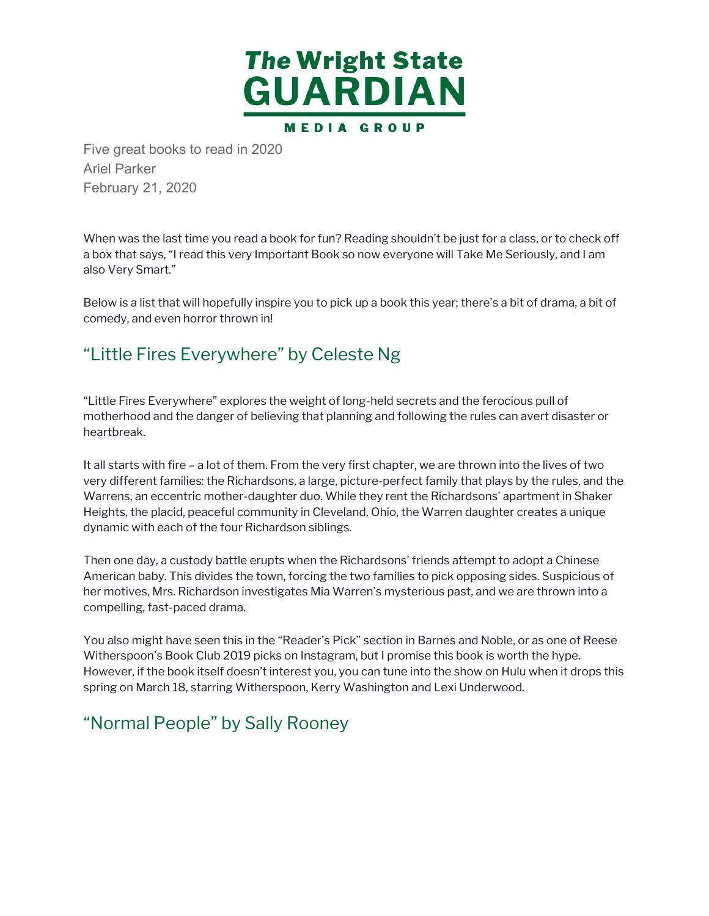

Ariel Parker February 21, 2020

 When was the last time you read a book for fun? Reading shouldn't be just for a class, or to check off a box that says, "I read this very Important Book so now everyone will Take Me Seriously, and I am also Very Smart."

 Below is a list that will hopefully inspire you to pick up a book this year; there's a bit of drama, a bit of comedy, and even horror thrown in!

#### "Little Fires Everywhere" by Celeste Ng

 "Little Fires Everywhere" explores the weight of long-held secrets and the ferocious pull of motherhood and the danger of believing that planning and following the rules can avert disaster or heartbreak.

 It all starts with fire – a lot of them. From the very first chapter, we are thrown into the lives of two very different families: the Richardsons, a large, picture-perfect family that plays by the rules, and the Warrens, an eccentric mother-daughter duo. While they rent the Richardsons' apartment in Shaker Heights, the placid, peaceful community in Cleveland, Ohio, the Warren daughter creates a unique dynamic with each of the four Richardson siblings. Vhen was the last time<br>box that says, "I read t<br>lso Very Smart."<br>kelow is a list that will h<br>omedy, and even horro<br>Little Fires Eve<br>Little Fires Everywhere<br>notherhood and the da<br>eartbreak.<br>call starts with fire – a l<br>ery d Five great books to read in 2020<br>Ariel Parker<br>February 21, 2020<br>When was the last time you read a bo<br>a box that says, "I read this very Impo<br>also Very Smart."<br>Below is a list that will hopefully inspincomedy, and even horr

 Then one day, a custody battle erupts when the Richardsons' friends attempt to adopt a Chinese American baby. This divides the town, forcing the two families to pick opposing sides. Suspicious of her motives, Mrs. Richardson investigates Mia Warren's mysterious past, and we are thrown into a compelling, fast-paced drama.

 You also might have seen this in the "Reader's Pick" section in Barnes and Noble, or as one of Reese Witherspoon's Book Club 2019 picks on Instagram, but I promise this book is worth the hype. However, if the book itself doesn't interest you, you can tune into the show on Hulu when it drops this spring on March 18, starring Witherspoon, Kerry Washington and Lexi Underwood.

# "Normal People" by Sally Rooney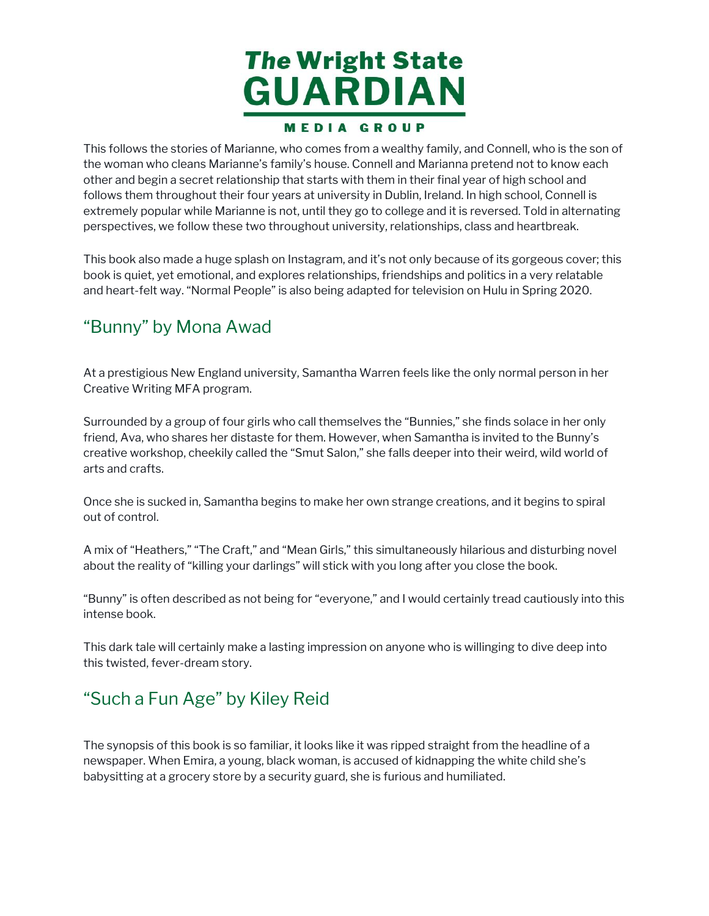

This follows the stories of Marianne, who comes from a wealthy family, and Connell, who is the son of the woman who cleans Marianne's family's house. Connell and Marianna pretend not to know each other and begin a secret relationship that starts with them in their final year of high school and follows them throughout their four years at university in Dublin, Ireland. In high school, Connell is extremely popular while Marianne is not, until they go to college and it is reversed. Told in alternating perspectives, we follow these two throughout university, relationships, class and heartbreak. is follows the<br>e woman wh<br>her and beg<br>llows them t<br>tremely pop<br>rspectives,<br>is book alsc<br>ok is quiet,<br>d heart-felt<br>**3unny"** b<br>a prestigiou<br>eative Writi<br>a prestigiou This follows the stories of Marianne, who comes from a wealthy family, and Connell, who is the son of<br>the vornan who cleans Marianne's formly shouse. Connell and Marianna proton and to know each<br>of the and begin a secret r

 This book also made a huge splash on Instagram, and it's not only because of its gorgeous cover; this book is quiet, yet emotional, and explores relationships, friendships and politics in a very relatable and heart-felt way. "Normal People" is also being adapted for television on Hulu in Spring 2020.

#### "Bunny" by Mona Awad

 At a prestigious New England university, Samantha Warren feels like the only normal person in her Creative Writing MFA program.

 Surrounded by a group of four girls who call themselves the "Bunnies," she finds solace in her only friend, Ava, who shares her distaste for them. However, when Samantha is invited to the Bunny's creative workshop, cheekily called the "Smut Salon," she falls deeper into their weird, wild world of arts and crafts. iend, Aveative<br>ts and<br>nce she<br>nce she<br>ut of co<br>mix of

 Once she is sucked in, Samantha begins to make her own strange creations, and it begins to spiral out of control.

 A mix of "Heathers," "The Craft," and "Mean Girls," this simultaneously hilarious and disturbing novel about the reality of "killing your darlings" will stick with you long after you close the book.

th<br>y"<br>e b; "Bunny" is often described as not being for "everyone," and I would certainly tread cautiously into this intense book.

 This dark tale will certainly make a lasting impression on anyone who is willinging to dive deep into this twisted, fever-dream story.

#### "Such a Fun Age" by Kiley Reid

 The synopsis of this book is so familiar, it looks like it was ripped straight from the headline of a newspaper. When Emira, a young, black woman, is accused of kidnapping the white child she's babysitting at a grocery store by a security guard, she is furious and humiliated.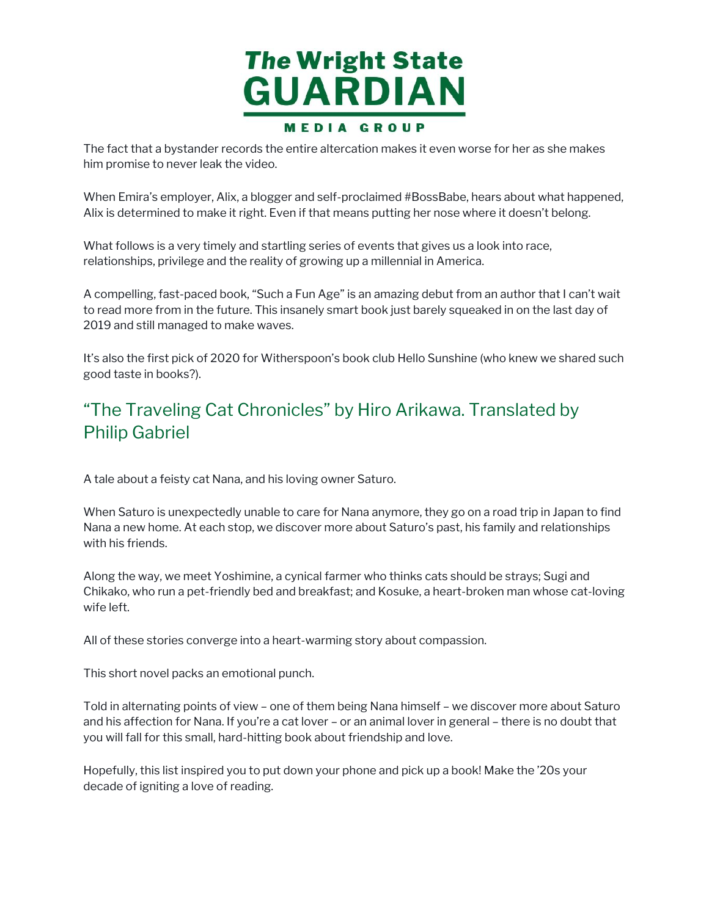

The fact that a bystander records the entire altercation makes it even worse for her as she makes him promise to never leak the video.  $\frac{1}{2}$ 

 When Emira's employer, Alix, a blogger and self-proclaimed #BossBabe, hears about what happened, Alix is determined to make it right. Even if that means putting her nose where it doesn't belong.

 What follows is a very timely and startling series of events that gives us a look into race, relationships, privilege and the reality of growing up a millennial in America.

 A compelling, fast-paced book, "Such a Fun Age" is an amazing debut from an author that I can't wait to read more from in the future. This insanely smart book just barely squeaked in on the last day of 2019 and still managed to make waves. hen Emira's employer, *l*<br>ix is determined to mak<br>hat follows is a very tim<br>lationships, privilege an<br>compelling, fast-paced<br>read more from in the f<br>019 and still managed to<br>s also the first pick of 20<br>ood taste in books?) The fact that a bystander records the entire altercation makes it even worse for her as she makes<br>thim promise to new text ket video.<br>When Emin's employer, Alix, a blogger and sell-proclaimed #BossBabe, hears about what ha

 It's also the first pick of 2020 for Witherspoon's book club Hello Sunshine (who knew we shared such good taste in books?).

#### "The Traveling Cat Chronicles" by Hiro Arikawa. Translated by Philip Gabriel

A tale about a feisty cat Nana, and his loving owner Saturo.

 When Saturo is unexpectedly unable to care for Nana anymore, they go on a road trip in Japan to find Nana a new home. At each stop, we discover more about Saturo's past, his family and relationships with his friends.

 Along the way, we meet Yoshimine, a cynical farmer who thinks cats should be strays; Sugi and en Sa<br>a a ne<br>his fi<br>ng the<br>ako,<br>left. Chikako, who run a pet-friendly bed and breakfast; and Kosuke, a heart-broken man whose cat-loving wife left.

All of these stories converge into a heart-warming story about compassion.

This short novel packs an emotional punch.

 Told in alternating points of view – one of them being Nana himself – we discover more about Saturo and his affection for Nana. If you're a cat lover – or an animal lover in general – there is no doubt that you will fall for this small, hard-hitting book about friendship and love.

 Hopefully, this list inspired you to put down your phone and pick up a book! Make the '20s your decade of igniting a love of reading.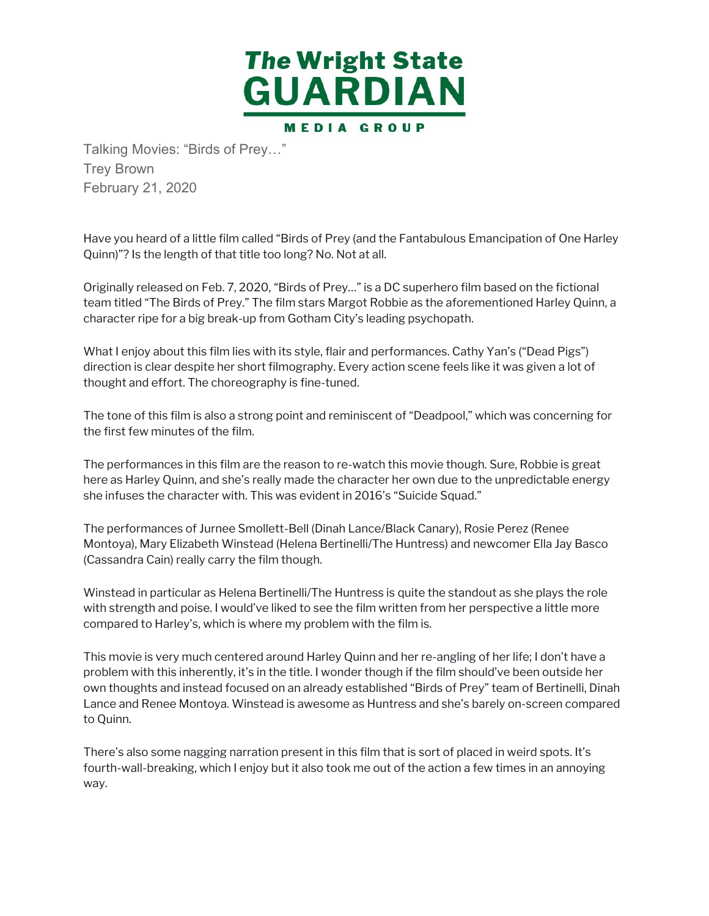

Trey Brown February 21, 2020

 Have you heard of a little film called "Birds of Prey (and the Fantabulous Emancipation of One Harley Quinn)"? Is the length of that title too long? No. Not at all.

 Originally released on Feb. 7, 2020, "Birds of Prey…" is a DC superhero film based on the fictional team titled "The Birds of Prey." The film stars Margot Robbie as the aforementioned Harley Quinn, a character ripe for a big break-up from Gotham City's leading psychopath. ve you heard of a<br>nn)"? Is the leng<br>ginally released<br>m titled "The Bir<br>racter ripe for a<br>at I enjoy about<br>ection is clear de<br>ught and effort.<br>e tone of this filn<br>first few minute<br>p performances<br>e as Harley Quin

 What I enjoy about this film lies with its style, flair and performances. Cathy Yan's ("Dead Pigs") direction is clear despite her short filmography. Every action scene feels like it was given a lot of thought and effort. The choreography is fine-tuned.

 The tone of this film is also a strong point and reminiscent of "Deadpool," which was concerning for the first few minutes of the film.

 The performances in this film are the reason to re-watch this movie though. Sure, Robbie is great here as Harley Quinn, and she's really made the character her own due to the unpredictable energy she infuses the character with. This was evident in 2016's "Suicide Squad."

 Montoya), Mary Elizabeth Winstead (Helena Bertinelli/The Huntress) and newcomer Ella Jay Basco (Cassandra Cain) really carry the film though. infuses the cha<br>performances (performances)<br>ntoya), Mary Eliz<br>ssandra Cain) re The performances of Jurnee Smollett-Bell (Dinah Lance/Black Canary), Rosie Perez (Renee

 Winstead in particular as Helena Bertinelli/The Huntress is quite the standout as she plays the role with strength and poise. I would've liked to see the film written from her perspective a little more compared to Harley's, which is where my problem with the film is.

 This movie is very much centered around Harley Quinn and her re-angling of her life; I don't have a problem with this inherently, it's in the title. I wonder though if the film should've been outside her own thoughts and instead focused on an already established "Birds of Prey" team of Bertinelli, Dinah Lance and Renee Montoya. Winstead is awesome as Huntress and she's barely on-screen compared instead i<br>th streng<br>mpared<br>nis movie<br>oblem w<br>wn thoug<br>nnce and<br>Quinn. Talking Movies: "Birds of Prey..."<br>Trey Brown<br>Trey Brown<br>February 21, 2020<br>Have you heard of a little film called "E<br>Quinn)"? Is the length of that title too l<br>Originally released on Feb. 7, 2020, "B<br>team titled "The Birds to Quinn.

 There's also some nagging narration present in this film that is sort of placed in weird spots. It's fourth-wall-breaking, which I enjoy but it also took me out of the action a few times in an annoying way.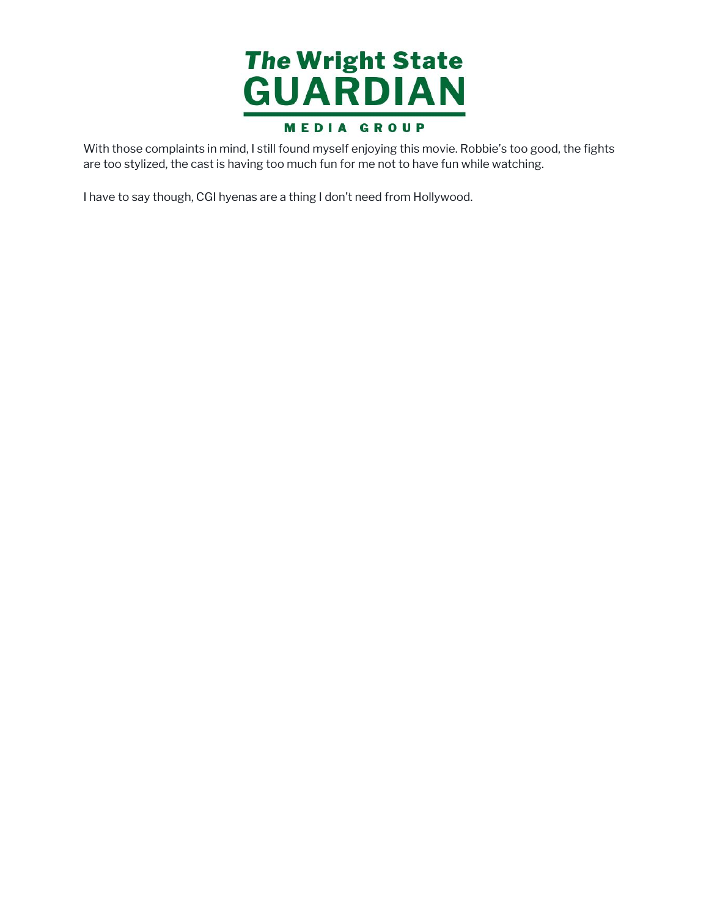

With those complaints in mind, I still found myself enjoying this movie. Robbie's too good, the fights With those complaints in mind, I still found myself enjoying this movie. Robbie's too good, the fights<br>are too stylized, the cast is having too much fun for me not to have fun while watching.<br>I have to say though, CGI hyen are too stylized, the cast is having too much fun for me not to have fun while watching.

I have to say though, CGI hyenas are a thing I don't need from Hollywood.